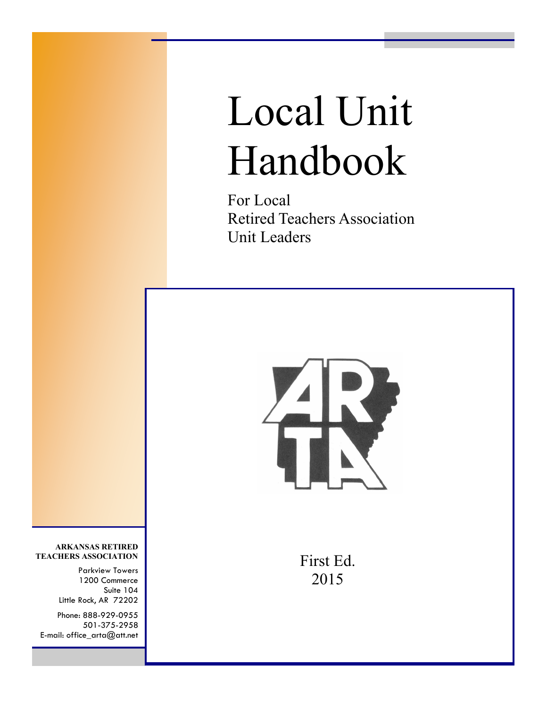# Local Unit Handbook

For Local Retired Teachers Association Unit Leaders



First Ed. 2015

**ARKANSAS RETIRED TEACHERS ASSOCIATION**

> Parkview Towers 1200 Commerce Suite 104 Little Rock, AR 72202

Phone: 888-929-0955 501-375-2958 E-mail: office\_arta@att.net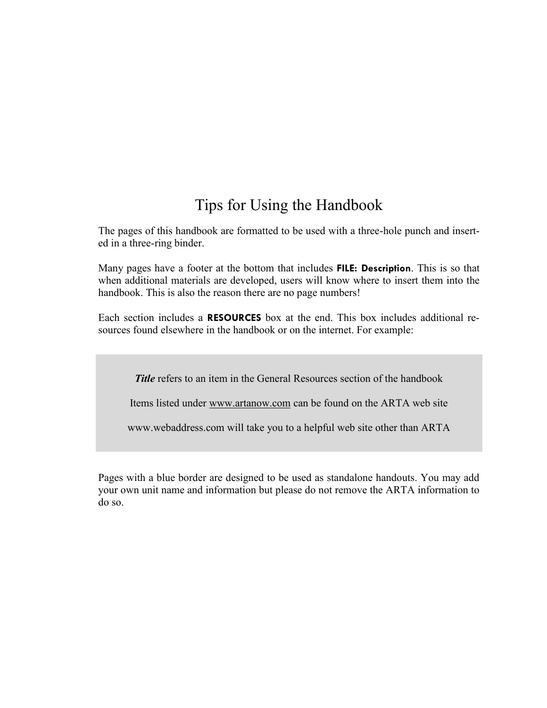### Tips for Using the Handbook

The pages of this handbook are formatted to be used with a three-hole punch and inserted in a three-ring binder.

Many pages have a footer at the bottom that includes **FILE: Description**. This is so that when additional materials are developed, users will know where to insert them into the handbook. This is also the reason there are no page numbers!

Each section includes a **RESOURCES** box at the end. This box includes additional resources found elsewhere in the handbook or on the internet. For example:

*Title* refers to an item in the General Resources section of the handbook

Items listed under www.artanow.com can be found on the ARTA web site

www.webaddress.com will take you to a helpful web site other than ARTA

Pages with a blue border are designed to be used as standalone handouts. You may add your own unit name and information but please do not remove the ARTA information to do so.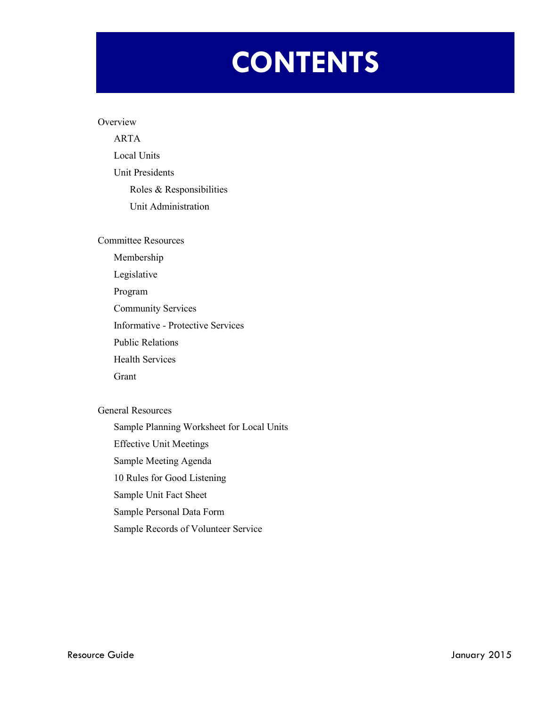# **CONTENTS**

#### **Overview**

ARTA Local Units Unit Presidents Roles & Responsibilities Unit Administration

Committee Resources

Membership

Legislative

Program

Community Services

Informative - Protective Services

Public Relations

Health Services

Grant

General Resources

Sample Planning Worksheet for Local Units

Effective Unit Meetings

Sample Meeting Agenda

10 Rules for Good Listening

Sample Unit Fact Sheet

Sample Personal Data Form

Sample Records of Volunteer Service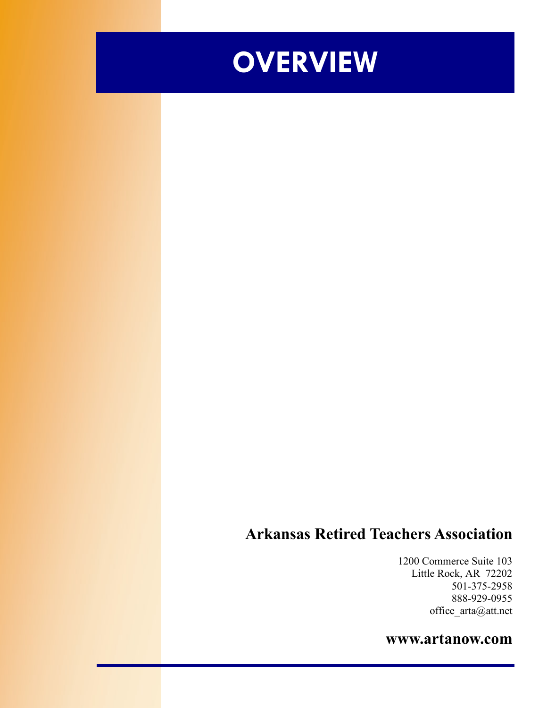

### **Arkansas Retired Teachers Association**

1200 Commerce Suite 103 Little Rock, AR 72202 501-375-2958 888-929-0955 office\_arta@att.net

### **www.artanow.com**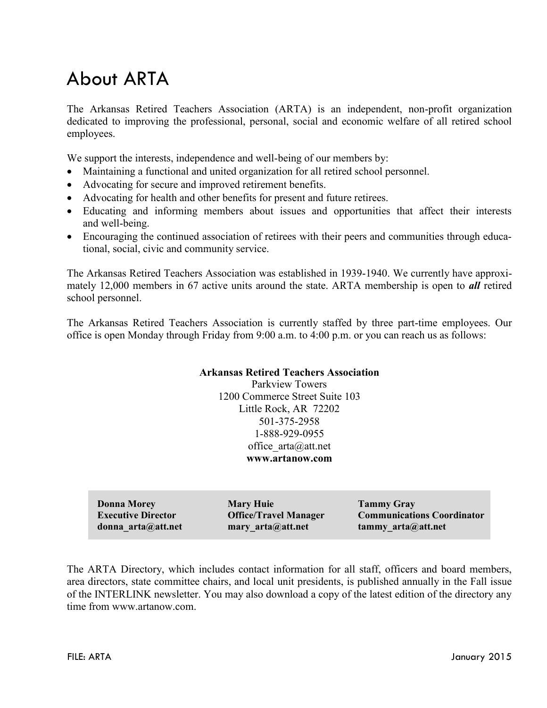# About ARTA

The Arkansas Retired Teachers Association (ARTA) is an independent, non-profit organization dedicated to improving the professional, personal, social and economic welfare of all retired school employees.

We support the interests, independence and well-being of our members by:

- Maintaining a functional and united organization for all retired school personnel.
- Advocating for secure and improved retirement benefits.
- Advocating for health and other benefits for present and future retirees.
- Educating and informing members about issues and opportunities that affect their interests and well-being.
- Encouraging the continued association of retirees with their peers and communities through educational, social, civic and community service.

The Arkansas Retired Teachers Association was established in 1939-1940. We currently have approximately 12,000 members in 67 active units around the state. ARTA membership is open to *all* retired school personnel.

The Arkansas Retired Teachers Association is currently staffed by three part-time employees. Our office is open Monday through Friday from 9:00 a.m. to 4:00 p.m. or you can reach us as follows:

#### **Arkansas Retired Teachers Association**

Parkview Towers 1200 Commerce Street Suite 103 Little Rock, AR 72202 501-375-2958 1-888-929-0955 office arta@att.net **www.artanow.com**

| <b>Donna Morey</b>        | <b>Mary Huie</b>             | <b>Tammy Gray</b>                 |
|---------------------------|------------------------------|-----------------------------------|
| <b>Executive Director</b> | <b>Office/Travel Manager</b> | <b>Communications Coordinator</b> |
| donna arta@att.net        | mary $arta$ att.net          | tammy $arta@att.net$              |

The ARTA Directory, which includes contact information for all staff, officers and board members, area directors, state committee chairs, and local unit presidents, is published annually in the Fall issue of the INTERLINK newsletter. You may also download a copy of the latest edition of the directory any time from www.artanow.com.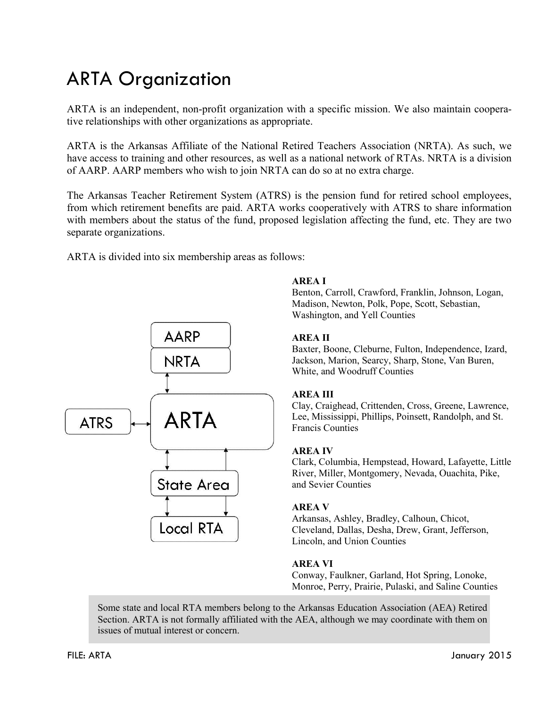# ARTA Organization

ARTA is an independent, non-profit organization with a specific mission. We also maintain cooperative relationships with other organizations as appropriate.

ARTA is the Arkansas Affiliate of the National Retired Teachers Association (NRTA). As such, we have access to training and other resources, as well as a national network of RTAs. NRTA is a division of AARP. AARP members who wish to join NRTA can do so at no extra charge.

The Arkansas Teacher Retirement System (ATRS) is the pension fund for retired school employees, from which retirement benefits are paid. ARTA works cooperatively with ATRS to share information with members about the status of the fund, proposed legislation affecting the fund, etc. They are two separate organizations.

ARTA is divided into six membership areas as follows:



#### **AREA I**

Benton, Carroll, Crawford, Franklin, Johnson, Logan, Madison, Newton, Polk, Pope, Scott, Sebastian, Washington, and Yell Counties

#### **AREA II**

Baxter, Boone, Cleburne, Fulton, Independence, Izard, Jackson, Marion, Searcy, Sharp, Stone, Van Buren, White, and Woodruff Counties

#### **AREA III**

Clay, Craighead, Crittenden, Cross, Greene, Lawrence, Lee, Mississippi, Phillips, Poinsett, Randolph, and St. Francis Counties

#### **AREA IV**

Clark, Columbia, Hempstead, Howard, Lafayette, Little River, Miller, Montgomery, Nevada, Ouachita, Pike, and Sevier Counties

#### **AREA V**

Arkansas, Ashley, Bradley, Calhoun, Chicot, Cleveland, Dallas, Desha, Drew, Grant, Jefferson, Lincoln, and Union Counties

#### **AREA VI**

Conway, Faulkner, Garland, Hot Spring, Lonoke, Monroe, Perry, Prairie, Pulaski, and Saline Counties

Some state and local RTA members belong to the Arkansas Education Association (AEA) Retired Section. ARTA is not formally affiliated with the AEA, although we may coordinate with them on issues of mutual interest or concern.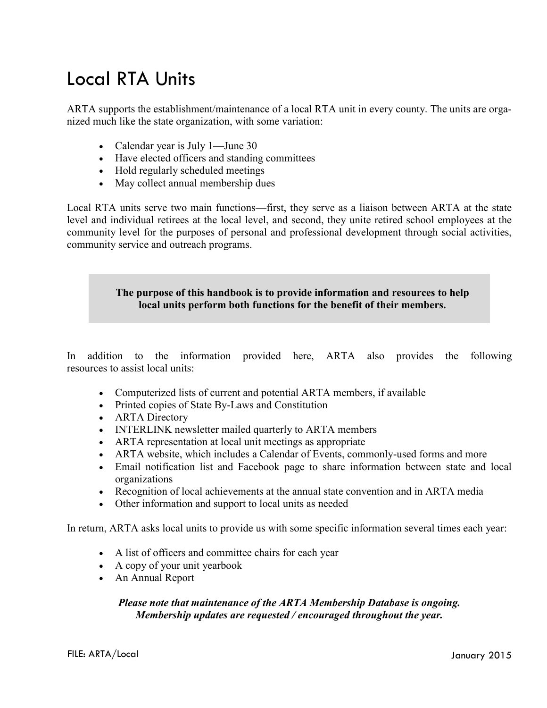# Local RTA Units

ARTA supports the establishment/maintenance of a local RTA unit in every county. The units are organized much like the state organization, with some variation:

- Calendar year is July 1—June 30
- Have elected officers and standing committees
- Hold regularly scheduled meetings
- May collect annual membership dues

Local RTA units serve two main functions—first, they serve as a liaison between ARTA at the state level and individual retirees at the local level, and second, they unite retired school employees at the community level for the purposes of personal and professional development through social activities, community service and outreach programs.

#### **The purpose of this handbook is to provide information and resources to help** . **local units perform both functions for the benefit of their members.**

In addition to the information provided here, ARTA also provides the following resources to assist local units:

- Computerized lists of current and potential ARTA members, if available
- Printed copies of State By-Laws and Constitution
- **ARTA** Directory
- INTERLINK newsletter mailed quarterly to ARTA members
- ARTA representation at local unit meetings as appropriate
- ARTA website, which includes a Calendar of Events, commonly-used forms and more
- Email notification list and Facebook page to share information between state and local organizations
- Recognition of local achievements at the annual state convention and in ARTA media
- Other information and support to local units as needed

In return, ARTA asks local units to provide us with some specific information several times each year:

- A list of officers and committee chairs for each year
- A copy of your unit yearbook
- An Annual Report

#### *Please note that maintenance of the ARTA Membership Database is ongoing. Membership updates are requested / encouraged throughout the year.*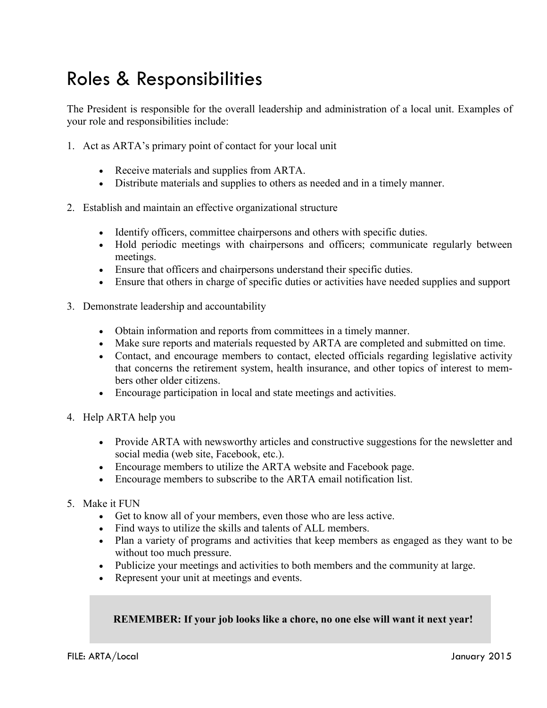# Roles & Responsibilities

The President is responsible for the overall leadership and administration of a local unit. Examples of your role and responsibilities include:

- 1. Act as ARTA's primary point of contact for your local unit
	- Receive materials and supplies from ARTA.
	- Distribute materials and supplies to others as needed and in a timely manner.
- 2. Establish and maintain an effective organizational structure
	- Identify officers, committee chairpersons and others with specific duties.
	- Hold periodic meetings with chairpersons and officers; communicate regularly between meetings.
	- Ensure that officers and chairpersons understand their specific duties.
	- Ensure that others in charge of specific duties or activities have needed supplies and support
- 3. Demonstrate leadership and accountability
	- Obtain information and reports from committees in a timely manner.
	- Make sure reports and materials requested by ARTA are completed and submitted on time.
	- Contact, and encourage members to contact, elected officials regarding legislative activity that concerns the retirement system, health insurance, and other topics of interest to members other older citizens.
	- Encourage participation in local and state meetings and activities.
- 4. Help ARTA help you
	- Provide ARTA with newsworthy articles and constructive suggestions for the newsletter and social media (web site, Facebook, etc.).
	- Encourage members to utilize the ARTA website and Facebook page.
	- Encourage members to subscribe to the ARTA email notification list.
- 5. Make it FUN
	- Get to know all of your members, even those who are less active.
	- Find ways to utilize the skills and talents of ALL members.
	- Plan a variety of programs and activities that keep members as engaged as they want to be without too much pressure.
	- Publicize your meetings and activities to both members and the community at large.
	- Represent your unit at meetings and events.

#### **REMEMBER: If your job looks like a chore, no one else will want it next year!**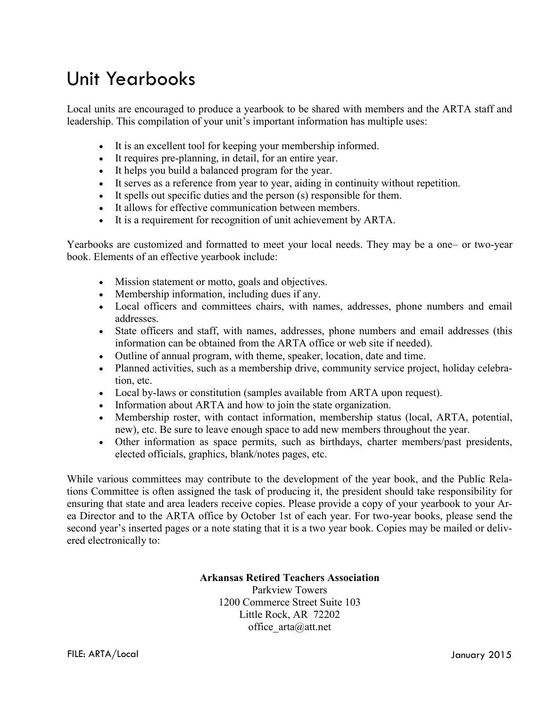## Unit Yearbooks

Local units are encouraged to produce a yearbook to be shared with members and the ARTA staff and leadership. This compilation of your unit's important information has multiple uses:

- It is an excellent tool for keeping your membership informed.
- It requires pre-planning, in detail, for an entire year.
- It helps you build a balanced program for the year.
- It serves as a reference from year to year, aiding in continuity without repetition.
- It spells out specific duties and the person (s) responsible for them.
- It allows for effective communication between members.
- It is a requirement for recognition of unit achievement by ARTA.

Yearbooks are customized and formatted to meet your local needs. They may be a one– or two-year book. Elements of an effective yearbook include:

- Mission statement or motto, goals and objectives.
- Membership information, including dues if any.
- Local officers and committees chairs, with names, addresses, phone numbers and email addresses.
- State officers and staff, with names, addresses, phone numbers and email addresses (this information can be obtained from the ARTA office or web site if needed).
- Outline of annual program, with theme, speaker, location, date and time.
- Planned activities, such as a membership drive, community service project, holiday celebration, etc.
- Local by-laws or constitution (samples available from ARTA upon request).
- Information about ARTA and how to join the state organization.
- Membership roster, with contact information, membership status (local, ARTA, potential, new), etc. Be sure to leave enough space to add new members throughout the year.
- Other information as space permits, such as birthdays, charter members/past presidents, elected officials, graphics, blank/notes pages, etc.

While various committees may contribute to the development of the year book, and the Public Relations Committee is often assigned the task of producing it, the president should take responsibility for ensuring that state and area leaders receive copies. Please provide a copy of your yearbook to your Area Director and to the ARTA office by October 1st of each year. For two-year books, please send the second year's inserted pages or a note stating that it is a two year book. Copies may be mailed or delivered electronically to:

#### **Arkansas Retired Teachers Association**

Parkview Towers 1200 Commerce Street Suite 103 Little Rock, AR 72202 office\_arta@att.net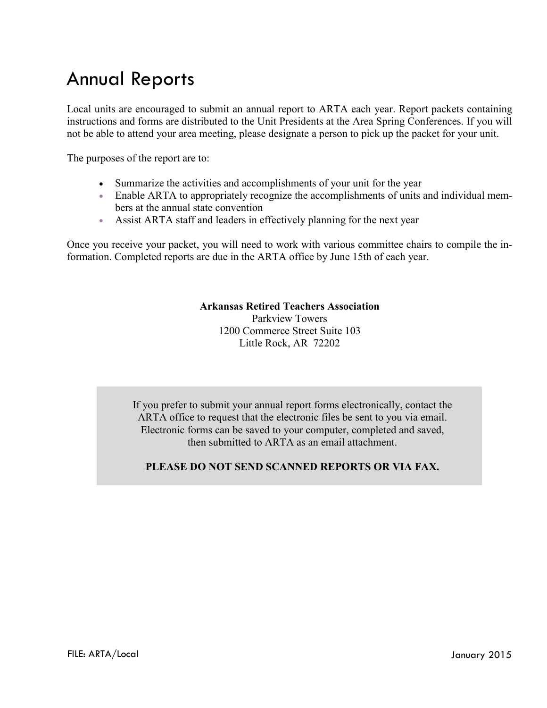## Annual Reports

Local units are encouraged to submit an annual report to ARTA each year. Report packets containing instructions and forms are distributed to the Unit Presidents at the Area Spring Conferences. If you will not be able to attend your area meeting, please designate a person to pick up the packet for your unit.

The purposes of the report are to:

- Summarize the activities and accomplishments of your unit for the year
- Enable ARTA to appropriately recognize the accomplishments of units and individual members at the annual state convention
- Assist ARTA staff and leaders in effectively planning for the next year

Once you receive your packet, you will need to work with various committee chairs to compile the information. Completed reports are due in the ARTA office by June 15th of each year.

#### **Arkansas Retired Teachers Association**

Parkview Towers 1200 Commerce Street Suite 103 Little Rock, AR 72202

If you prefer to submit your annual report forms electronically, contact the ARTA office to request that the electronic files be sent to you via email. Electronic forms can be saved to your computer, completed and saved, then submitted to ARTA as an email attachment.

#### **PLEASE DO NOT SEND SCANNED REPORTS OR VIA FAX.**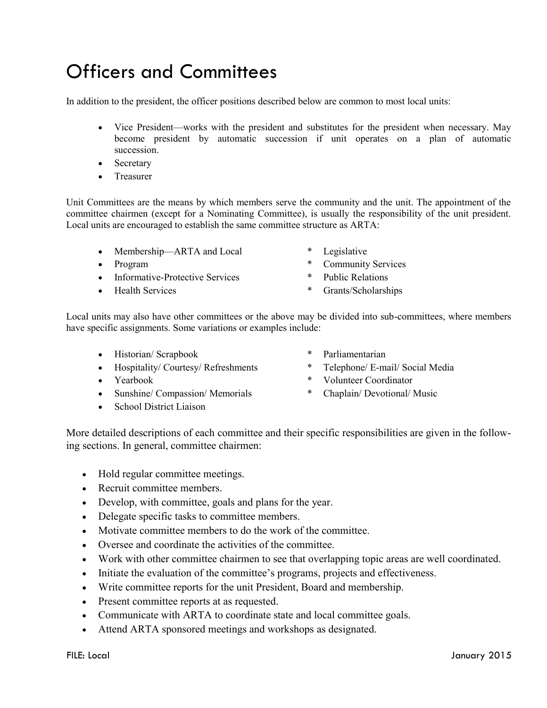# Officers and Committees

In addition to the president, the officer positions described below are common to most local units:

- Vice President—works with the president and substitutes for the president when necessary. May become president by automatic succession if unit operates on a plan of automatic succession.
- Secretary
- Treasurer

Unit Committees are the means by which members serve the community and the unit. The appointment of the committee chairmen (except for a Nominating Committee), is usually the responsibility of the unit president. Local units are encouraged to establish the same committee structure as ARTA:

- Membership—ARTA and Local \* Legislative
- 
- Informative-Protective Services \* Public Relations
- 
- 
- Program \* Community Services
	-
- Health Services \* Grants/Scholarships

Local units may also have other committees or the above may be divided into sub-committees, where members have specific assignments. Some variations or examples include:

- Historian/ Scrapbook \* Parliamentarian
- Hospitality/ Courtesy/ Refreshments \* Telephone/ E-mail/ Social Media
- 
- Sunshine/ Compassion/ Memorials \* Chaplain/ Devotional/ Music
- School District Liaison
- 
- 
- Yearbook \* Volunteer Coordinator
	-

More detailed descriptions of each committee and their specific responsibilities are given in the following sections. In general, committee chairmen:

- Hold regular committee meetings.
- Recruit committee members.
- Develop, with committee, goals and plans for the year.
- Delegate specific tasks to committee members.
- Motivate committee members to do the work of the committee.
- Oversee and coordinate the activities of the committee.
- Work with other committee chairmen to see that overlapping topic areas are well coordinated.
- Initiate the evaluation of the committee's programs, projects and effectiveness.
- Write committee reports for the unit President, Board and membership.
- Present committee reports at as requested.
- Communicate with ARTA to coordinate state and local committee goals.
- Attend ARTA sponsored meetings and workshops as designated.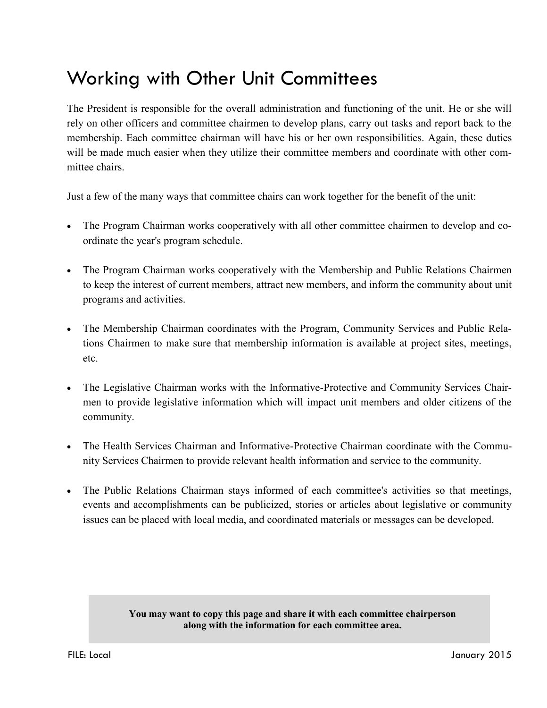# Working with Other Unit Committees

The President is responsible for the overall administration and functioning of the unit. He or she will rely on other officers and committee chairmen to develop plans, carry out tasks and report back to the membership. Each committee chairman will have his or her own responsibilities. Again, these duties will be made much easier when they utilize their committee members and coordinate with other committee chairs.

Just a few of the many ways that committee chairs can work together for the benefit of the unit:

- The Program Chairman works cooperatively with all other committee chairmen to develop and coordinate the year's program schedule.
- The Program Chairman works cooperatively with the Membership and Public Relations Chairmen to keep the interest of current members, attract new members, and inform the community about unit programs and activities.
- The Membership Chairman coordinates with the Program, Community Services and Public Relations Chairmen to make sure that membership information is available at project sites, meetings, etc.
- The Legislative Chairman works with the Informative-Protective and Community Services Chairmen to provide legislative information which will impact unit members and older citizens of the community.
- The Health Services Chairman and Informative-Protective Chairman coordinate with the Community Services Chairmen to provide relevant health information and service to the community.
- The Public Relations Chairman stays informed of each committee's activities so that meetings, events and accomplishments can be publicized, stories or articles about legislative or community issues can be placed with local media, and coordinated materials or messages can be developed.

#### **You may want to copy this page and share it with each committee chairperson along with the information for each committee area.**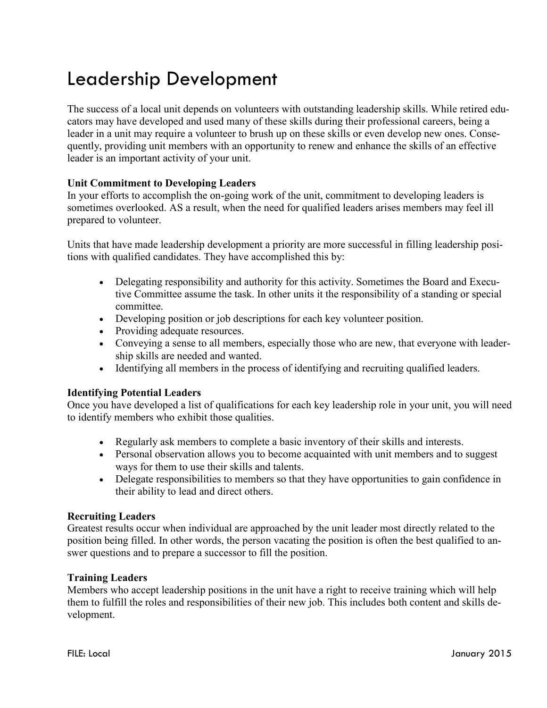# Leadership Development

The success of a local unit depends on volunteers with outstanding leadership skills. While retired educators may have developed and used many of these skills during their professional careers, being a leader in a unit may require a volunteer to brush up on these skills or even develop new ones. Consequently, providing unit members with an opportunity to renew and enhance the skills of an effective leader is an important activity of your unit.

#### **Unit Commitment to Developing Leaders**

In your efforts to accomplish the on-going work of the unit, commitment to developing leaders is sometimes overlooked. AS a result, when the need for qualified leaders arises members may feel ill prepared to volunteer.

Units that have made leadership development a priority are more successful in filling leadership positions with qualified candidates. They have accomplished this by:

- Delegating responsibility and authority for this activity. Sometimes the Board and Executive Committee assume the task. In other units it the responsibility of a standing or special committee.
- Developing position or job descriptions for each key volunteer position.
- Providing adequate resources.
- Conveying a sense to all members, especially those who are new, that everyone with leadership skills are needed and wanted.
- Identifying all members in the process of identifying and recruiting qualified leaders.

#### **Identifying Potential Leaders**

Once you have developed a list of qualifications for each key leadership role in your unit, you will need to identify members who exhibit those qualities.

- Regularly ask members to complete a basic inventory of their skills and interests.
- Personal observation allows you to become acquainted with unit members and to suggest ways for them to use their skills and talents.
- Delegate responsibilities to members so that they have opportunities to gain confidence in their ability to lead and direct others.

#### **Recruiting Leaders**

Greatest results occur when individual are approached by the unit leader most directly related to the position being filled. In other words, the person vacating the position is often the best qualified to answer questions and to prepare a successor to fill the position.

#### **Training Leaders**

Members who accept leadership positions in the unit have a right to receive training which will help them to fulfill the roles and responsibilities of their new job. This includes both content and skills development.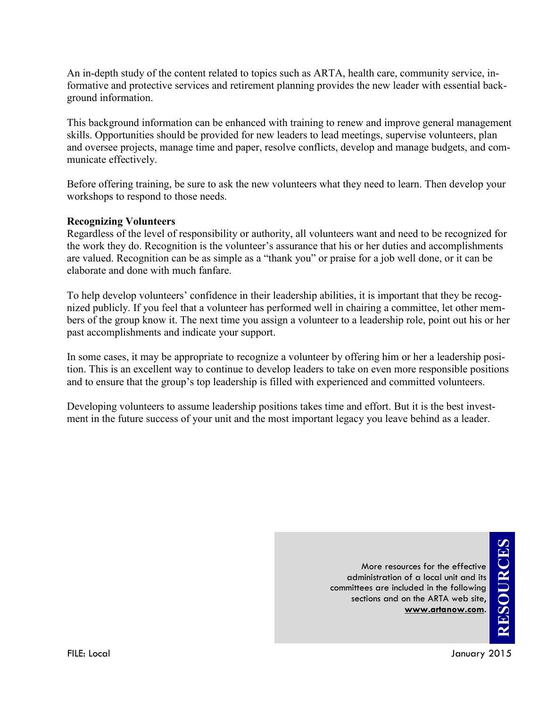An in-depth study of the content related to topics such as ARTA, health care, community service, informative and protective services and retirement planning provides the new leader with essential background information.

This background information can be enhanced with training to renew and improve general management skills. Opportunities should be provided for new leaders to lead meetings, supervise volunteers, plan and oversee projects, manage time and paper, resolve conflicts, develop and manage budgets, and communicate effectively.

Before offering training, be sure to ask the new volunteers what they need to learn. Then develop your workshops to respond to those needs.

#### **Recognizing Volunteers**

Regardless of the level of responsibility or authority, all volunteers want and need to be recognized for the work they do. Recognition is the volunteer's assurance that his or her duties and accomplishments are valued. Recognition can be as simple as a "thank you" or praise for a job well done, or it can be elaborate and done with much fanfare.

To help develop volunteers' confidence in their leadership abilities, it is important that they be recognized publicly. If you feel that a volunteer has performed well in chairing a committee, let other members of the group know it. The next time you assign a volunteer to a leadership role, point out his or her past accomplishments and indicate your support.

In some cases, it may be appropriate to recognize a volunteer by offering him or her a leadership position. This is an excellent way to continue to develop leaders to take on even more responsible positions and to ensure that the group's top leadership is filled with experienced and committed volunteers.

Developing volunteers to assume leadership positions takes time and effort. But it is the best investment in the future success of your unit and the most important legacy you leave behind as a leader.

> More resources for the effective administration of a local unit and its committees are included in the following sections and on the ARTA web site, **www.artanow.com**.

**RESOURCES**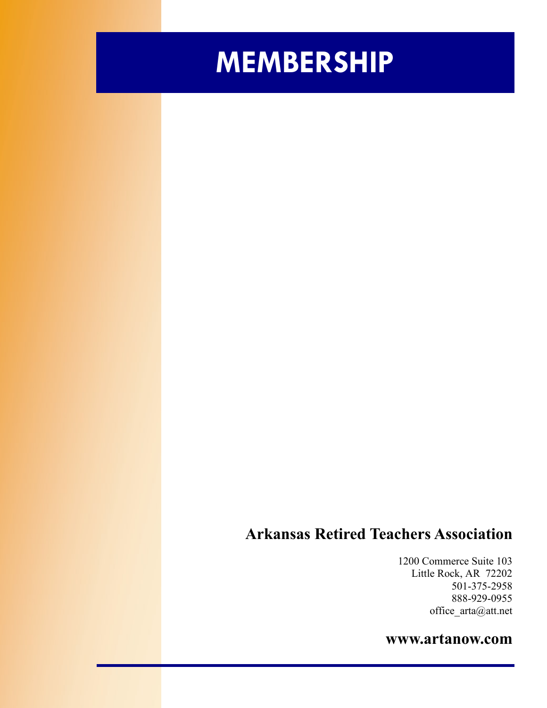# **MEMBERSHIP**

### **Arkansas Retired Teachers Association**

1200 Commerce Suite 103 Little Rock, AR 72202 501-375-2958 888-929-0955 office\_arta@att.net

### **www.artanow.com**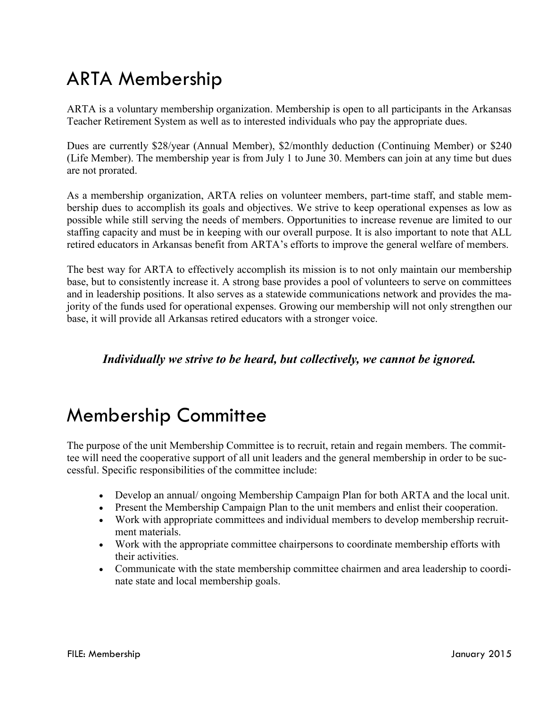# ARTA Membership

ARTA is a voluntary membership organization. Membership is open to all participants in the Arkansas Teacher Retirement System as well as to interested individuals who pay the appropriate dues.

Dues are currently \$28/year (Annual Member), \$2/monthly deduction (Continuing Member) or \$240 (Life Member). The membership year is from July 1 to June 30. Members can join at any time but dues are not prorated.

As a membership organization, ARTA relies on volunteer members, part-time staff, and stable membership dues to accomplish its goals and objectives. We strive to keep operational expenses as low as possible while still serving the needs of members. Opportunities to increase revenue are limited to our staffing capacity and must be in keeping with our overall purpose. It is also important to note that ALL retired educators in Arkansas benefit from ARTA's efforts to improve the general welfare of members.

The best way for ARTA to effectively accomplish its mission is to not only maintain our membership base, but to consistently increase it. A strong base provides a pool of volunteers to serve on committees and in leadership positions. It also serves as a statewide communications network and provides the majority of the funds used for operational expenses. Growing our membership will not only strengthen our base, it will provide all Arkansas retired educators with a stronger voice.

#### *Individually we strive to be heard, but collectively, we cannot be ignored.*

### Membership Committee

The purpose of the unit Membership Committee is to recruit, retain and regain members. The committee will need the cooperative support of all unit leaders and the general membership in order to be successful. Specific responsibilities of the committee include:

- Develop an annual/ ongoing Membership Campaign Plan for both ARTA and the local unit.
- Present the Membership Campaign Plan to the unit members and enlist their cooperation.
- Work with appropriate committees and individual members to develop membership recruitment materials.
- Work with the appropriate committee chairpersons to coordinate membership efforts with their activities.
- Communicate with the state membership committee chairmen and area leadership to coordinate state and local membership goals.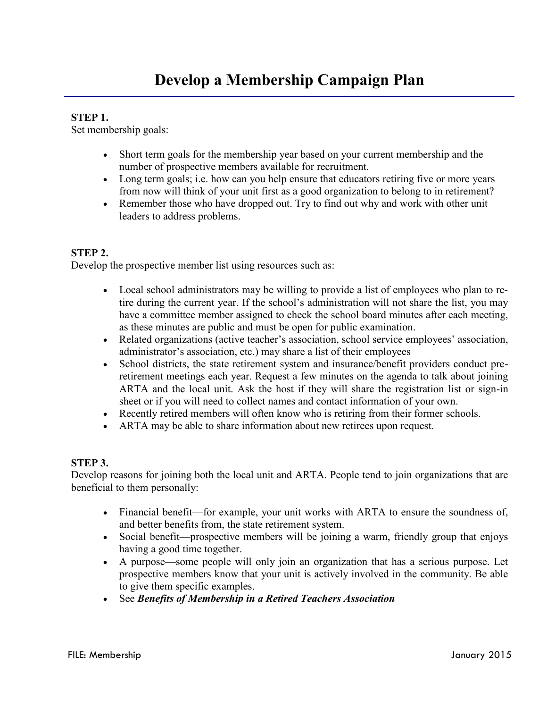#### **STEP 1.**

Set membership goals:

- Short term goals for the membership year based on your current membership and the number of prospective members available for recruitment.
- Long term goals; i.e. how can you help ensure that educators retiring five or more years from now will think of your unit first as a good organization to belong to in retirement?
- Remember those who have dropped out. Try to find out why and work with other unit leaders to address problems.

#### **STEP 2.**

Develop the prospective member list using resources such as:

- Local school administrators may be willing to provide a list of employees who plan to retire during the current year. If the school's administration will not share the list, you may have a committee member assigned to check the school board minutes after each meeting, as these minutes are public and must be open for public examination.
- Related organizations (active teacher's association, school service employees' association, administrator's association, etc.) may share a list of their employees
- School districts, the state retirement system and insurance/benefit providers conduct preretirement meetings each year. Request a few minutes on the agenda to talk about joining ARTA and the local unit. Ask the host if they will share the registration list or sign-in sheet or if you will need to collect names and contact information of your own.
- Recently retired members will often know who is retiring from their former schools.
- ARTA may be able to share information about new retirees upon request.

#### **STEP 3.**

Develop reasons for joining both the local unit and ARTA. People tend to join organizations that are beneficial to them personally:

- Financial benefit—for example, your unit works with ARTA to ensure the soundness of, and better benefits from, the state retirement system.
- Social benefit—prospective members will be joining a warm, friendly group that enjoys having a good time together.
- A purpose—some people will only join an organization that has a serious purpose. Let prospective members know that your unit is actively involved in the community. Be able to give them specific examples.
- See *Benefits of Membership in a Retired Teachers Association*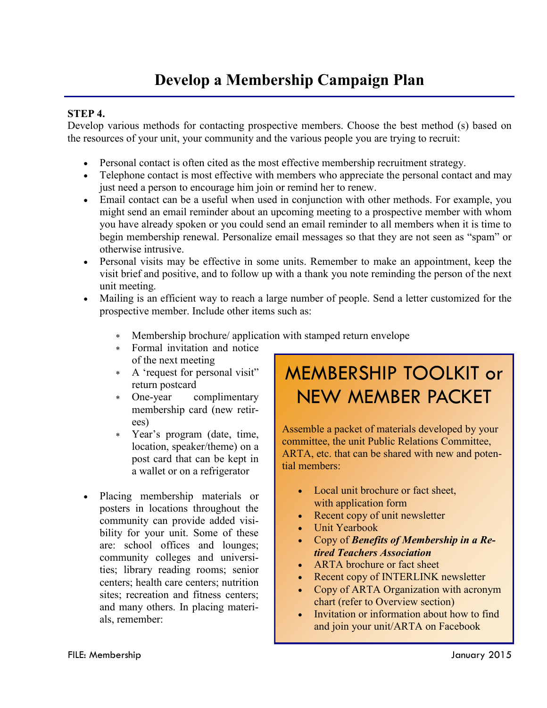### **Develop a Membership Campaign Plan**

#### **STEP 4.**

Develop various methods for contacting prospective members. Choose the best method (s) based on the resources of your unit, your community and the various people you are trying to recruit:

- Personal contact is often cited as the most effective membership recruitment strategy.
- Telephone contact is most effective with members who appreciate the personal contact and may just need a person to encourage him join or remind her to renew.
- Email contact can be a useful when used in conjunction with other methods. For example, you might send an email reminder about an upcoming meeting to a prospective member with whom you have already spoken or you could send an email reminder to all members when it is time to begin membership renewal. Personalize email messages so that they are not seen as "spam" or otherwise intrusive.
- Personal visits may be effective in some units. Remember to make an appointment, keep the visit brief and positive, and to follow up with a thank you note reminding the person of the next unit meeting.
- Mailing is an efficient way to reach a large number of people. Send a letter customized for the prospective member. Include other items such as:
	- Membership brochure/ application with stamped return envelope
	- Formal invitation and notice of the next meeting
	- A 'request for personal visit" return postcard
	- One-year complimentary membership card (new retirees)
	- Year's program (date, time, location, speaker/theme) on a post card that can be kept in a wallet or on a refrigerator
- Placing membership materials or posters in locations throughout the community can provide added visibility for your unit. Some of these are: school offices and lounges; community colleges and universities; library reading rooms; senior centers; health care centers; nutrition sites; recreation and fitness centers; and many others. In placing materials, remember:

# MEMBERSHIP TOOLKIT or NEW MEMBER PACKET

Assemble a packet of materials developed by your committee, the unit Public Relations Committee, ARTA, etc. that can be shared with new and potential members:

- Local unit brochure or fact sheet, with application form
- Recent copy of unit newsletter
- Unit Yearbook
- Copy of *Benefits of Membership in a Retired Teachers Association*
- ARTA brochure or fact sheet
- Recent copy of INTERLINK newsletter
- Copy of ARTA Organization with acronym chart (refer to Overview section)
- Invitation or information about how to find and join your unit/ARTA on Facebook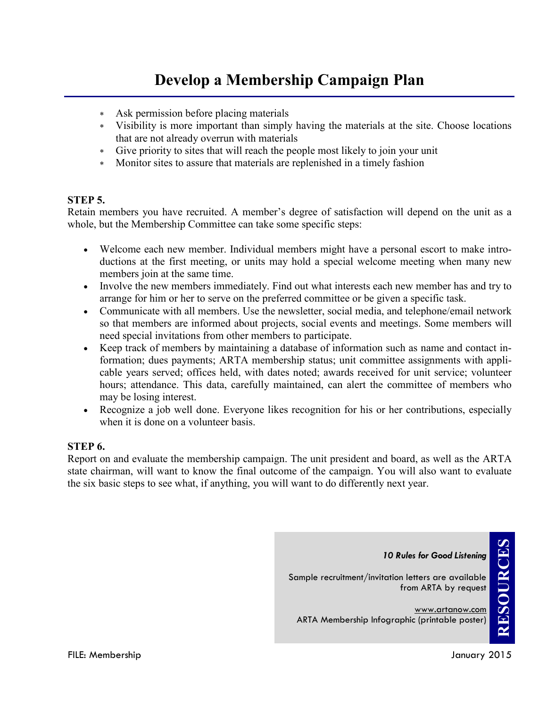### **Develop a Membership Campaign Plan**

- Ask permission before placing materials
- Visibility is more important than simply having the materials at the site. Choose locations that are not already overrun with materials
- Give priority to sites that will reach the people most likely to join your unit
- Monitor sites to assure that materials are replenished in a timely fashion

#### **STEP 5.**

Retain members you have recruited. A member's degree of satisfaction will depend on the unit as a whole, but the Membership Committee can take some specific steps:

- Welcome each new member. Individual members might have a personal escort to make introductions at the first meeting, or units may hold a special welcome meeting when many new members join at the same time.
- Involve the new members immediately. Find out what interests each new member has and try to arrange for him or her to serve on the preferred committee or be given a specific task.
- Communicate with all members. Use the newsletter, social media, and telephone/email network so that members are informed about projects, social events and meetings. Some members will need special invitations from other members to participate.
- Keep track of members by maintaining a database of information such as name and contact information; dues payments; ARTA membership status; unit committee assignments with applicable years served; offices held, with dates noted; awards received for unit service; volunteer hours; attendance. This data, carefully maintained, can alert the committee of members who may be losing interest.
- Recognize a job well done. Everyone likes recognition for his or her contributions, especially when it is done on a volunteer basis.

#### **STEP 6.**

Report on and evaluate the membership campaign. The unit president and board, as well as the ARTA state chairman, will want to know the final outcome of the campaign. You will also want to evaluate the six basic steps to see what, if anything, you will want to do differently next year.

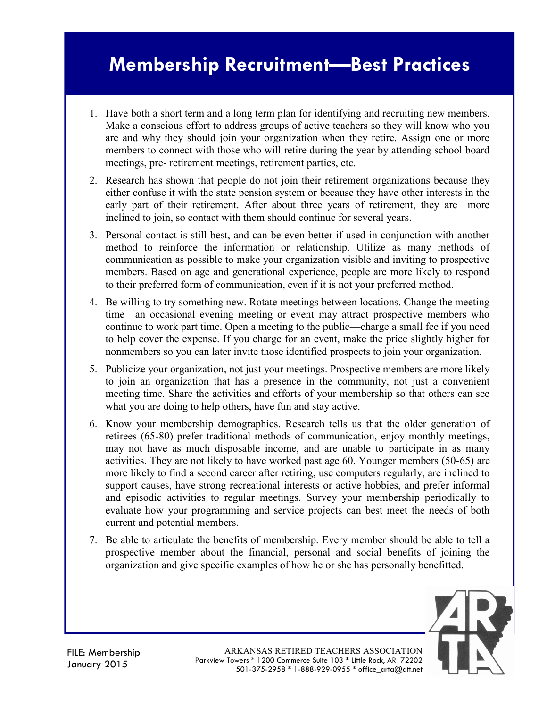# **Membership Recruitment—Best Practices**

- 1. Have both a short term and a long term plan for identifying and recruiting new members. Make a conscious effort to address groups of active teachers so they will know who you are and why they should join your organization when they retire. Assign one or more members to connect with those who will retire during the year by attending school board meetings, pre- retirement meetings, retirement parties, etc.
- 2. Research has shown that people do not join their retirement organizations because they either confuse it with the state pension system or because they have other interests in the early part of their retirement. After about three years of retirement, they are more inclined to join, so contact with them should continue for several years.
- 3. Personal contact is still best, and can be even better if used in conjunction with another method to reinforce the information or relationship. Utilize as many methods of communication as possible to make your organization visible and inviting to prospective members. Based on age and generational experience, people are more likely to respond to their preferred form of communication, even if it is not your preferred method.
- 4. Be willing to try something new. Rotate meetings between locations. Change the meeting time—an occasional evening meeting or event may attract prospective members who continue to work part time. Open a meeting to the public—charge a small fee if you need to help cover the expense. If you charge for an event, make the price slightly higher for nonmembers so you can later invite those identified prospects to join your organization.
- 5. Publicize your organization, not just your meetings. Prospective members are more likely to join an organization that has a presence in the community, not just a convenient meeting time. Share the activities and efforts of your membership so that others can see what you are doing to help others, have fun and stay active.
- 6. Know your membership demographics. Research tells us that the older generation of retirees (65-80) prefer traditional methods of communication, enjoy monthly meetings, may not have as much disposable income, and are unable to participate in as many activities. They are not likely to have worked past age 60. Younger members (50-65) are more likely to find a second career after retiring, use computers regularly, are inclined to support causes, have strong recreational interests or active hobbies, and prefer informal and episodic activities to regular meetings. Survey your membership periodically to evaluate how your programming and service projects can best meet the needs of both current and potential members.
- 7. Be able to articulate the benefits of membership. Every member should be able to tell a prospective member about the financial, personal and social benefits of joining the organization and give specific examples of how he or she has personally benefitted.



ARKANSAS RETIRED TEACHERS ASSOCIATION Parkview Towers \* 1200 Commerce Suite 103 \* Little Rock, AR 72202 501-375-2958 \* 1-888-929-0955 \* office\_arta@att.net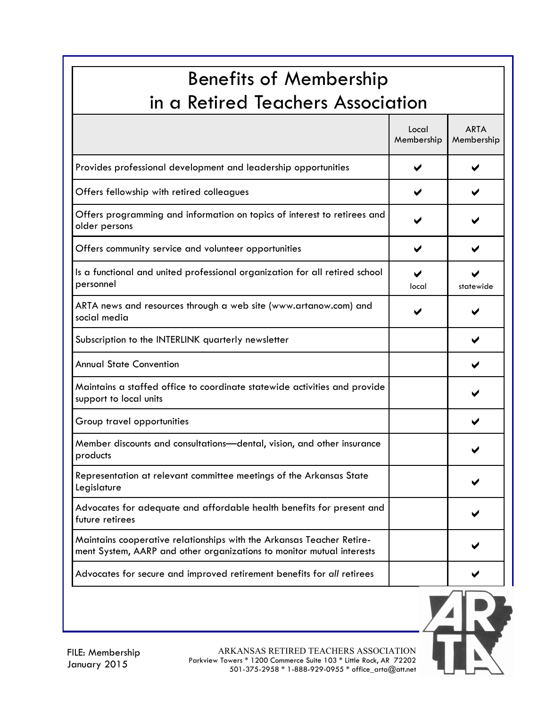| <b>Benefits of Membership</b><br>in a Retired Teachers Association                                                                             |                     |                           |  |  |
|------------------------------------------------------------------------------------------------------------------------------------------------|---------------------|---------------------------|--|--|
|                                                                                                                                                | Local<br>Membership | <b>ARTA</b><br>Membership |  |  |
| Provides professional development and leadership opportunities                                                                                 |                     |                           |  |  |
| Offers fellowship with retired colleagues                                                                                                      |                     |                           |  |  |
| Offers programming and information on topics of interest to retirees and<br>older persons                                                      |                     |                           |  |  |
| Offers community service and volunteer opportunities                                                                                           |                     |                           |  |  |
| Is a functional and united professional organization for all retired school<br>personnel                                                       | local               | statewide                 |  |  |
| ARTA news and resources through a web site (www.artanow.com) and<br>social media                                                               |                     |                           |  |  |
| Subscription to the INTERLINK quarterly newsletter                                                                                             |                     |                           |  |  |
| <b>Annual State Convention</b>                                                                                                                 |                     |                           |  |  |
| Maintains a staffed office to coordinate statewide activities and provide<br>support to local units                                            |                     |                           |  |  |
| Group travel opportunities                                                                                                                     |                     |                           |  |  |
| Member discounts and consultations-dental, vision, and other insurance<br>products                                                             |                     |                           |  |  |
| Representation at relevant committee meetings of the Arkansas State<br>Legislature                                                             |                     |                           |  |  |
| Advocates for adequate and affordable health benefits for present and<br>future retirees                                                       |                     |                           |  |  |
| Maintains cooperative relationships with the Arkansas Teacher Retire-<br>ment System, AARP and other organizations to monitor mutual interests |                     |                           |  |  |
| Advocates for secure and improved retirement benefits for all retirees                                                                         |                     |                           |  |  |

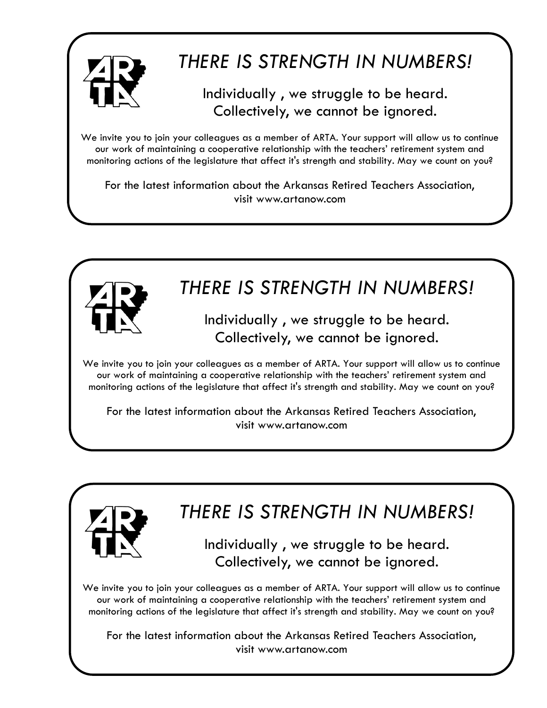

# *THERE IS STRENGTH IN NUMBERS!*

### Individually , we struggle to be heard. Collectively, we cannot be ignored.

We invite you to join your colleagues as a member of ARTA. Your support will allow us to continue our work of maintaining a cooperative relationship with the teachers' retirement system and monitoring actions of the legislature that affect it's strength and stability. May we count on you?

For the latest information about the Arkansas Retired Teachers Association, visit www.artanow.com



For the latest information about the Arkansas Retired Teachers Association, visit www.artanow.com



# *THERE IS STRENGTH IN NUMBERS!*

Individually , we struggle to be heard. Collectively, we cannot be ignored.

We invite you to join your colleagues as a member of ARTA. Your support will allow us to continue our work of maintaining a cooperative relationship with the teachers' retirement system and monitoring actions of the legislature that affect it's strength and stability. May we count on you?

For the latest information about the Arkansas Retired Teachers Association, visit www.artanow.com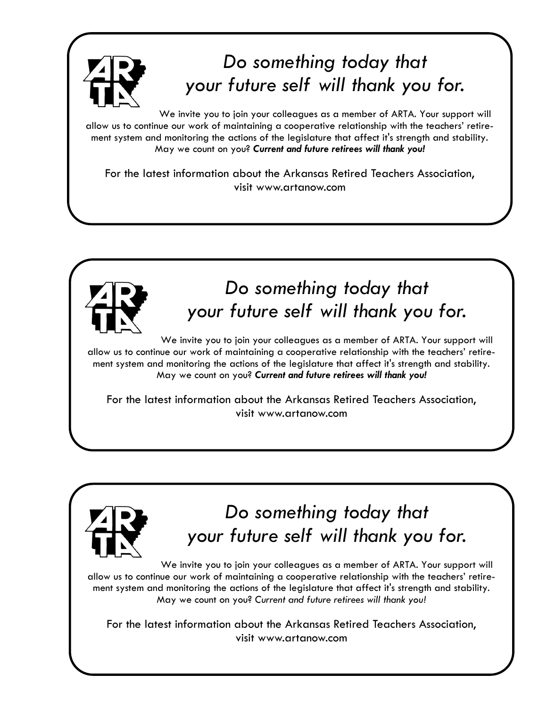

# *Do something today that your future self will thank you for.*

We invite you to join your colleagues as a member of ARTA. Your support will allow us to continue our work of maintaining a cooperative relationship with the teachers' retirement system and monitoring the actions of the legislature that affect it's strength and stability. May we count on you? *Current and future retirees will thank you!*

For the latest information about the Arkansas Retired Teachers Association, visit www.artanow.com



# *Do something today that your future self will thank you for.*

We invite you to join your colleagues as a member of ARTA. Your support will allow us to continue our work of maintaining a cooperative relationship with the teachers' retirement system and monitoring the actions of the legislature that affect it's strength and stability. May we count on you? *Current and future retirees will thank you!*

For the latest information about the Arkansas Retired Teachers Association, visit www.artanow.com



# *Do something today that your future self will thank you for.*

We invite you to join your colleagues as a member of ARTA. Your support will allow us to continue our work of maintaining a cooperative relationship with the teachers' retirement system and monitoring the actions of the legislature that affect it's strength and stability. May we count on you? *Current and future retirees will thank you!*

For the latest information about the Arkansas Retired Teachers Association, visit www.artanow.com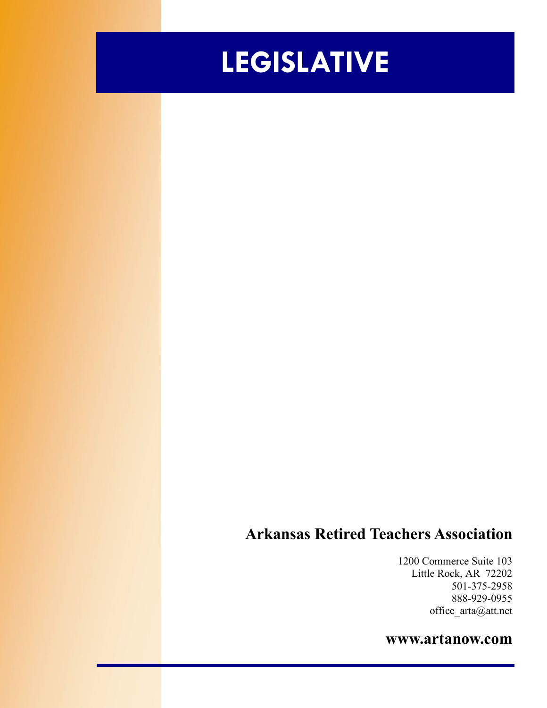# **LEGISLATIVE**

### **Arkansas Retired Teachers Association**

1200 Commerce Suite 103 Little Rock, AR 72202 501-375-2958 888-929-0955 office\_arta@att.net

### **www.artanow.com**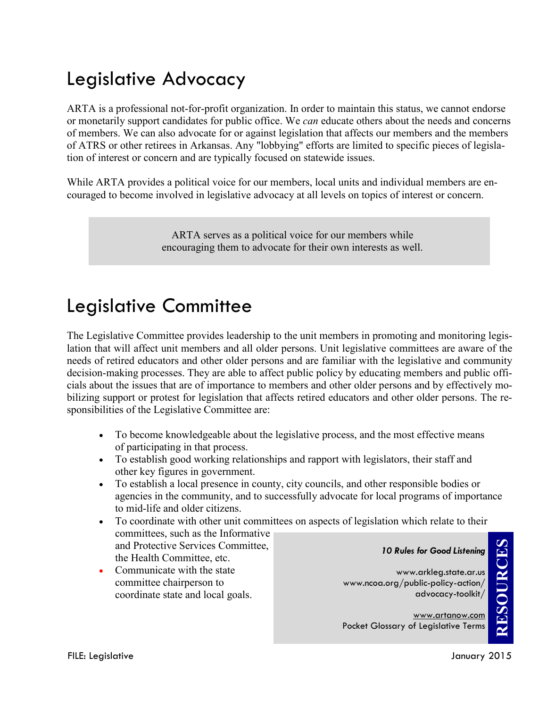# Legislative Advocacy

ARTA is a professional not-for-profit organization. In order to maintain this status, we cannot endorse or monetarily support candidates for public office. We *can* educate others about the needs and concerns of members. We can also advocate for or against legislation that affects our members and the members of ATRS or other retirees in Arkansas. Any "lobbying" efforts are limited to specific pieces of legislation of interest or concern and are typically focused on statewide issues.

While ARTA provides a political voice for our members, local units and individual members are encouraged to become involved in legislative advocacy at all levels on topics of interest or concern.

> ARTA serves as a political voice for our members while encouraging them to advocate for their own interests as well.

### Legislative Committee

The Legislative Committee provides leadership to the unit members in promoting and monitoring legislation that will affect unit members and all older persons. Unit legislative committees are aware of the needs of retired educators and other older persons and are familiar with the legislative and community decision-making processes. They are able to affect public policy by educating members and public officials about the issues that are of importance to members and other older persons and by effectively mobilizing support or protest for legislation that affects retired educators and other older persons. The responsibilities of the Legislative Committee are:

- To become knowledgeable about the legislative process, and the most effective means of participating in that process.
- To establish good working relationships and rapport with legislators, their staff and other key figures in government.
- To establish a local presence in county, city councils, and other responsible bodies or agencies in the community, and to successfully advocate for local programs of importance to mid-life and older citizens.
- To coordinate with other unit committees on aspects of legislation which relate to their committees, such as the Informative and Protective Services Committee, the Health Committee, etc. *10 Rules for Good Listening*
- Communicate with the state committee chairperson to coordinate state and local goals.

www.arkleg.state.ar.us www.ncoa.org/public-policy-action/ advocacy-toolkit/

www.artanow.com Pocket Glossary of Legislative Terms

**RESOURCES**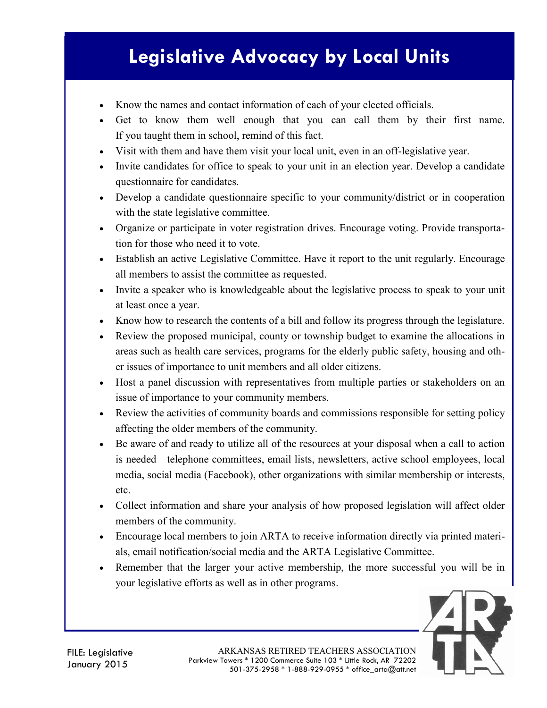# **Legislative Advocacy by Local Units**

- Know the names and contact information of each of your elected officials.
- Get to know them well enough that you can call them by their first name. If you taught them in school, remind of this fact.
- Visit with them and have them visit your local unit, even in an off-legislative year.
- Invite candidates for office to speak to your unit in an election year. Develop a candidate questionnaire for candidates.
- Develop a candidate questionnaire specific to your community/district or in cooperation with the state legislative committee.
- Organize or participate in voter registration drives. Encourage voting. Provide transportation for those who need it to vote.
- Establish an active Legislative Committee. Have it report to the unit regularly. Encourage all members to assist the committee as requested.
- Invite a speaker who is knowledgeable about the legislative process to speak to your unit at least once a year.
- Know how to research the contents of a bill and follow its progress through the legislature.
- Review the proposed municipal, county or township budget to examine the allocations in areas such as health care services, programs for the elderly public safety, housing and other issues of importance to unit members and all older citizens.
- Host a panel discussion with representatives from multiple parties or stakeholders on an issue of importance to your community members.
- Review the activities of community boards and commissions responsible for setting policy affecting the older members of the community.
- Be aware of and ready to utilize all of the resources at your disposal when a call to action is needed—telephone committees, email lists, newsletters, active school employees, local media, social media (Facebook), other organizations with similar membership or interests, etc.
- Collect information and share your analysis of how proposed legislation will affect older members of the community.
- Encourage local members to join ARTA to receive information directly via printed materials, email notification/social media and the ARTA Legislative Committee.
- Remember that the larger your active membership, the more successful you will be in your legislative efforts as well as in other programs.

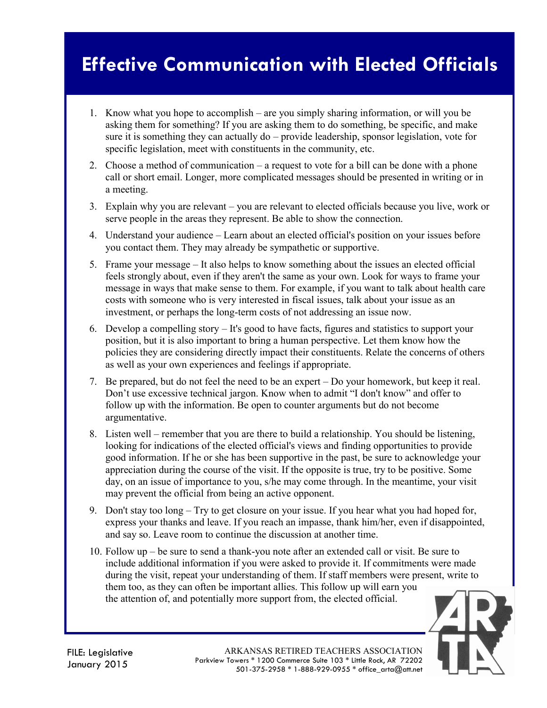# **Effective Communication with Elected Officials**

- 1. Know what you hope to accomplish are you simply sharing information, or will you be asking them for something? If you are asking them to do something, be specific, and make sure it is something they can actually do – provide leadership, sponsor legislation, vote for specific legislation, meet with constituents in the community, etc.
- 2. Choose a method of communication a request to vote for a bill can be done with a phone call or short email. Longer, more complicated messages should be presented in writing or in a meeting.
- 3. Explain why you are relevant you are relevant to elected officials because you live, work or serve people in the areas they represent. Be able to show the connection.
- 4. Understand your audience Learn about an elected official's position on your issues before you contact them. They may already be sympathetic or supportive.
- 5. Frame your message It also helps to know something about the issues an elected official feels strongly about, even if they aren't the same as your own. Look for ways to frame your message in ways that make sense to them. For example, if you want to talk about health care costs with someone who is very interested in fiscal issues, talk about your issue as an investment, or perhaps the long-term costs of not addressing an issue now.
- 6. Develop a compelling story It's good to have facts, figures and statistics to support your position, but it is also important to bring a human perspective. Let them know how the policies they are considering directly impact their constituents. Relate the concerns of others as well as your own experiences and feelings if appropriate.
- 7. Be prepared, but do not feel the need to be an expert Do your homework, but keep it real. Don't use excessive technical jargon. Know when to admit "I don't know" and offer to follow up with the information. Be open to counter arguments but do not become argumentative.
- 8. Listen well remember that you are there to build a relationship. You should be listening, looking for indications of the elected official's views and finding opportunities to provide good information. If he or she has been supportive in the past, be sure to acknowledge your appreciation during the course of the visit. If the opposite is true, try to be positive. Some day, on an issue of importance to you, s/he may come through. In the meantime, your visit may prevent the official from being an active opponent.
- 9. Don't stay too long Try to get closure on your issue. If you hear what you had hoped for, express your thanks and leave. If you reach an impasse, thank him/her, even if disappointed, and say so. Leave room to continue the discussion at another time.
- 10. Follow up be sure to send a thank-you note after an extended call or visit. Be sure to include additional information if you were asked to provide it. If commitments were made during the visit, repeat your understanding of them. If staff members were present, write to them too, as they can often be important allies. This follow up will earn you the attention of, and potentially more support from, the elected official.

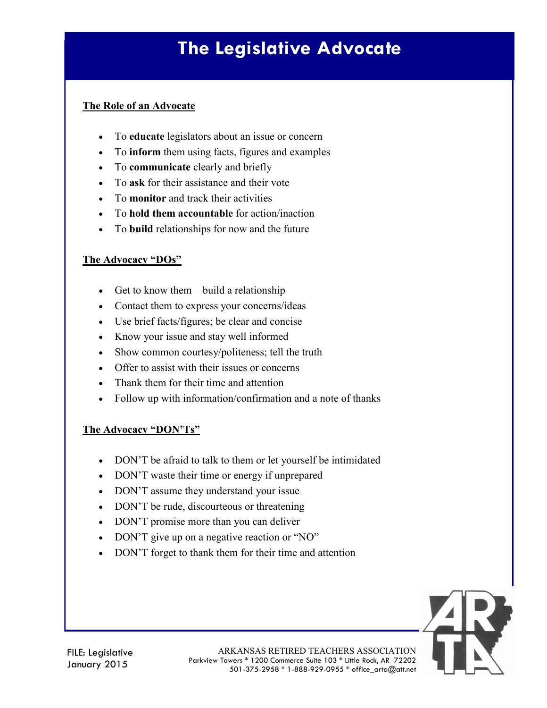# **The Legislative Advocate**

#### **The Role of an Advocate**

- To **educate** legislators about an issue or concern
- To **inform** them using facts, figures and examples
- To **communicate** clearly and briefly
- To **ask** for their assistance and their vote
- To **monitor** and track their activities
- To **hold them accountable** for action/inaction
- To **build** relationships for now and the future

#### **The Advocacy "DOs"**

- Get to know them—build a relationship
- Contact them to express your concerns/ideas
- Use brief facts/figures; be clear and concise
- Know your issue and stay well informed
- Show common courtesy/politeness; tell the truth
- Offer to assist with their issues or concerns
- Thank them for their time and attention
- Follow up with information/confirmation and a note of thanks

#### **The Advocacy "DON'Ts"**

- DON'T be afraid to talk to them or let yourself be intimidated
- DON'T waste their time or energy if unprepared
- DON'T assume they understand your issue
- DON'T be rude, discourteous or threatening
- DON'T promise more than you can deliver
- DON'T give up on a negative reaction or "NO"
- DON'T forget to thank them for their time and attention

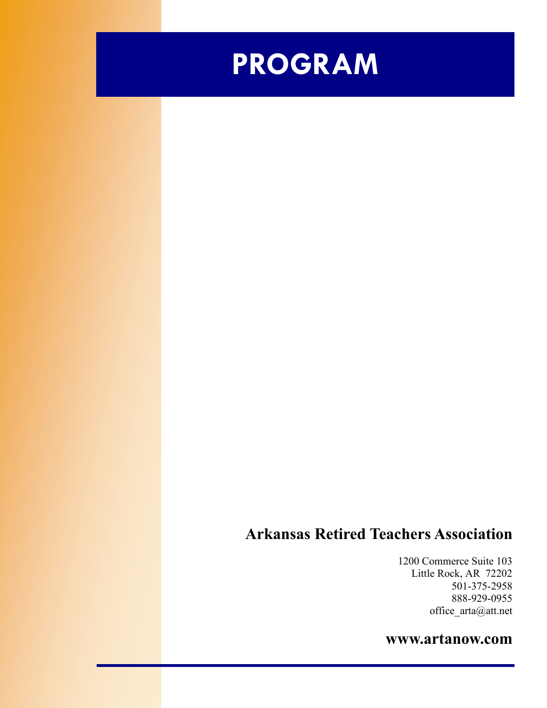

### **Arkansas Retired Teachers Association**

1200 Commerce Suite 103 Little Rock, AR 72202 501-375-2958 888-929-0955 office\_arta@att.net

### **www.artanow.com**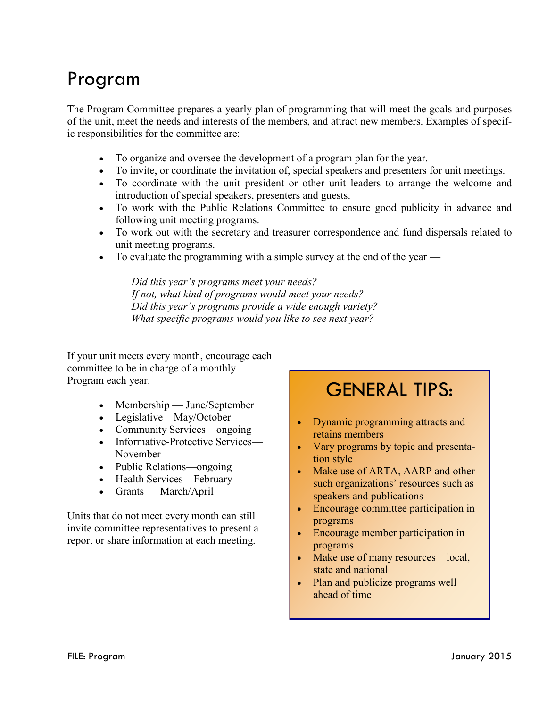## Program

The Program Committee prepares a yearly plan of programming that will meet the goals and purposes of the unit, meet the needs and interests of the members, and attract new members. Examples of specific responsibilities for the committee are:

- To organize and oversee the development of a program plan for the year.
- To invite, or coordinate the invitation of, special speakers and presenters for unit meetings.
- To coordinate with the unit president or other unit leaders to arrange the welcome and introduction of special speakers, presenters and guests.
- To work with the Public Relations Committee to ensure good publicity in advance and following unit meeting programs.
- To work out with the secretary and treasurer correspondence and fund dispersals related to unit meeting programs.
- To evaluate the programming with a simple survey at the end of the year —

*Did this year's programs meet your needs? If not, what kind of programs would meet your needs? Did this year's programs provide a wide enough variety? What specific programs would you like to see next year?*

If your unit meets every month, encourage each committee to be in charge of a monthly Program each year.

- Membership June/September
- Legislative—May/October
- Community Services—ongoing
- Informative-Protective Services— November
- Public Relations—ongoing
- Health Services—February
- Grants March/April

Units that do not meet every month can still invite committee representatives to present a report or share information at each meeting.

### GENERAL TIPS:

- Dynamic programming attracts and retains members
- Vary programs by topic and presentation style
- Make use of ARTA, AARP and other such organizations' resources such as speakers and publications
- Encourage committee participation in programs
- Encourage member participation in programs
- Make use of many resources—local, state and national
- Plan and publicize programs well ahead of time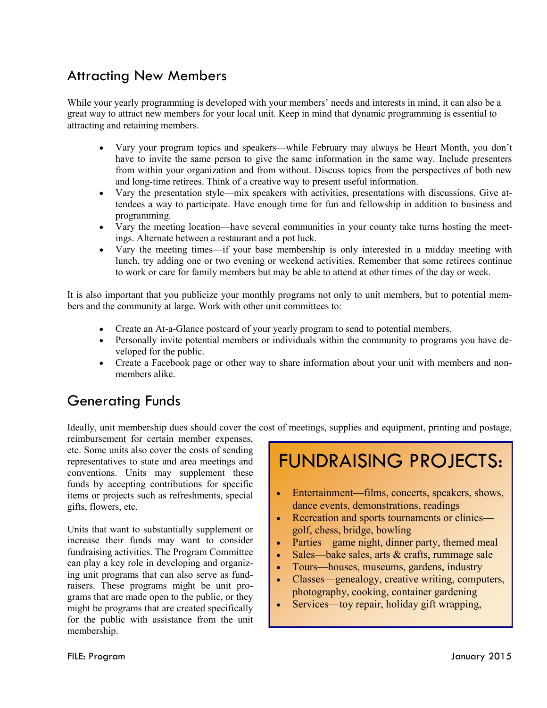### Attracting New Members

While your yearly programming is developed with your members' needs and interests in mind, it can also be a great way to attract new members for your local unit. Keep in mind that dynamic programming is essential to attracting and retaining members.

- Vary your program topics and speakers—while February may always be Heart Month, you don't have to invite the same person to give the same information in the same way. Include presenters from within your organization and from without. Discuss topics from the perspectives of both new and long-time retirees. Think of a creative way to present useful information.
- Vary the presentation style—mix speakers with activities, presentations with discussions. Give attendees a way to participate. Have enough time for fun and fellowship in addition to business and programming.
- Vary the meeting location—have several communities in your county take turns hosting the meetings. Alternate between a restaurant and a pot luck.
- Vary the meeting times—if your base membership is only interested in a midday meeting with lunch, try adding one or two evening or weekend activities. Remember that some retirees continue to work or care for family members but may be able to attend at other times of the day or week.

It is also important that you publicize your monthly programs not only to unit members, but to potential members and the community at large. Work with other unit committees to:

- Create an At-a-Glance postcard of your yearly program to send to potential members.
- Personally invite potential members or individuals within the community to programs you have developed for the public.
- Create a Facebook page or other way to share information about your unit with members and nonmembers alike.

### Generating Funds

Ideally, unit membership dues should cover the cost of meetings, supplies and equipment, printing and postage,

reimbursement for certain member expenses, etc. Some units also cover the costs of sending representatives to state and area meetings and conventions. Units may supplement these funds by accepting contributions for specific items or projects such as refreshments, special gifts, flowers, etc.

Units that want to substantially supplement or increase their funds may want to consider fundraising activities. The Program Committee can play a key role in developing and organizing unit programs that can also serve as fundraisers. These programs might be unit programs that are made open to the public, or they might be programs that are created specifically for the public with assistance from the unit membership.

# FUNDRAISING PROJECTS:

- Entertainment—films, concerts, speakers, shows, dance events, demonstrations, readings
- Recreation and sports tournaments or clinics golf, chess, bridge, bowling
- Parties—game night, dinner party, themed meal
- Sales—bake sales, arts & crafts, rummage sale
- Tours—houses, museums, gardens, industry
- Classes—genealogy, creative writing, computers, photography, cooking, container gardening
- Services—toy repair, holiday gift wrapping,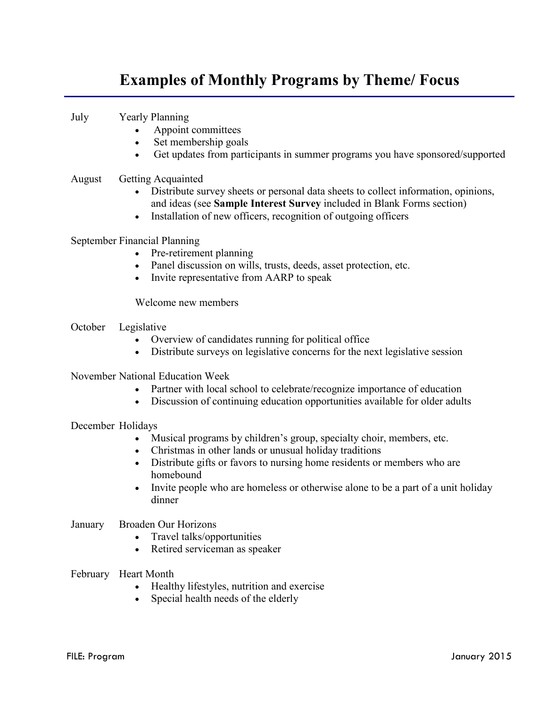### **Examples of Monthly Programs by Theme/ Focus**

July Yearly Planning

- Appoint committees
- Set membership goals
- Get updates from participants in summer programs you have sponsored/supported

#### August Getting Acquainted

- Distribute survey sheets or personal data sheets to collect information, opinions, and ideas (see **Sample Interest Survey** included in Blank Forms section)
- Installation of new officers, recognition of outgoing officers

#### September Financial Planning

- Pre-retirement planning
- Panel discussion on wills, trusts, deeds, asset protection, etc.
- Invite representative from AARP to speak

Welcome new members

- October Legislative
	- Overview of candidates running for political office
	- Distribute surveys on legislative concerns for the next legislative session

#### November National Education Week

- Partner with local school to celebrate/recognize importance of education
- Discussion of continuing education opportunities available for older adults

#### December Holidays

- Musical programs by children's group, specialty choir, members, etc.
- Christmas in other lands or unusual holiday traditions
- Distribute gifts or favors to nursing home residents or members who are homebound
- Invite people who are homeless or otherwise alone to be a part of a unit holiday dinner

#### January Broaden Our Horizons

- Travel talks/opportunities
- Retired serviceman as speaker
- February Heart Month
	- Healthy lifestyles, nutrition and exercise
	- Special health needs of the elderly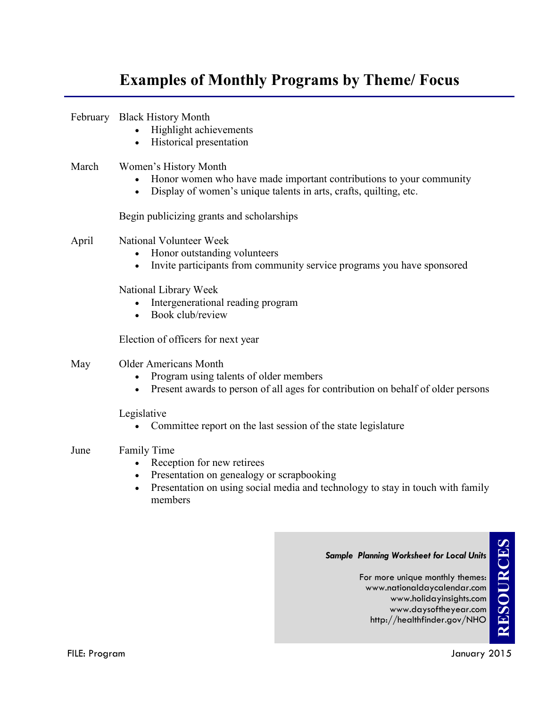### **Examples of Monthly Programs by Theme/ Focus**

|       | February Black History Month<br>Highlight achievements<br>Historical presentation                                                                                                                                      |
|-------|------------------------------------------------------------------------------------------------------------------------------------------------------------------------------------------------------------------------|
| March | Women's History Month<br>Honor women who have made important contributions to your community<br>Display of women's unique talents in arts, crafts, quilting, etc.                                                      |
|       | Begin publicizing grants and scholarships                                                                                                                                                                              |
| April | National Volunteer Week<br>Honor outstanding volunteers<br>Invite participants from community service programs you have sponsored<br>$\bullet$                                                                         |
|       | National Library Week<br>Intergenerational reading program<br>Book club/review                                                                                                                                         |
|       | Election of officers for next year                                                                                                                                                                                     |
| May   | <b>Older Americans Month</b><br>Program using talents of older members<br>Present awards to person of all ages for contribution on behalf of older persons<br>$\bullet$                                                |
|       | Legislative<br>Committee report on the last session of the state legislature                                                                                                                                           |
| June  | <b>Family Time</b><br>Reception for new retirees<br>$\bullet$<br>• Presentation on genealogy or scrapbooking<br>Presentation on using social media and technology to stay in touch with family<br>$\bullet$<br>members |

#### *Sample Planning Worksheet for Local Units*

For more unique monthly themes: www.nationaldaycalendar.com www.holidayinsights.com www.daysoftheyear.com http://healthfinder.gov/NHO

**RESOURCES**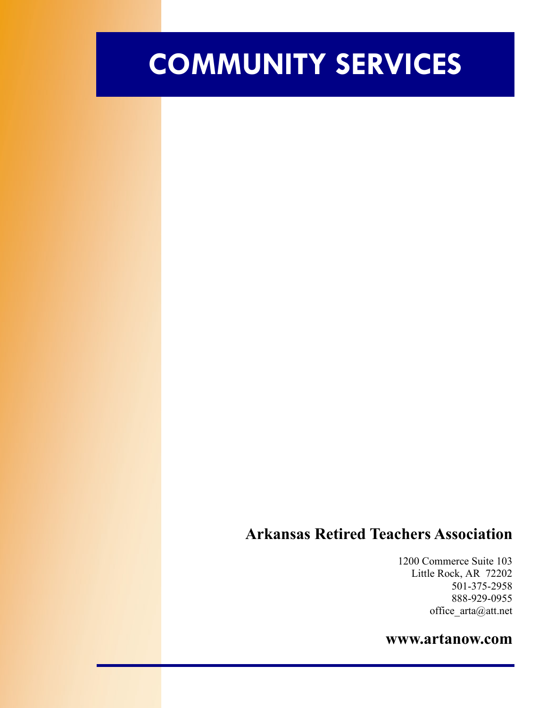# **COMMUNITY SERVICES**

### **Arkansas Retired Teachers Association**

1200 Commerce Suite 103 Little Rock, AR 72202 501-375-2958 888-929-0955 office\_arta@att.net

#### **www.artanow.com**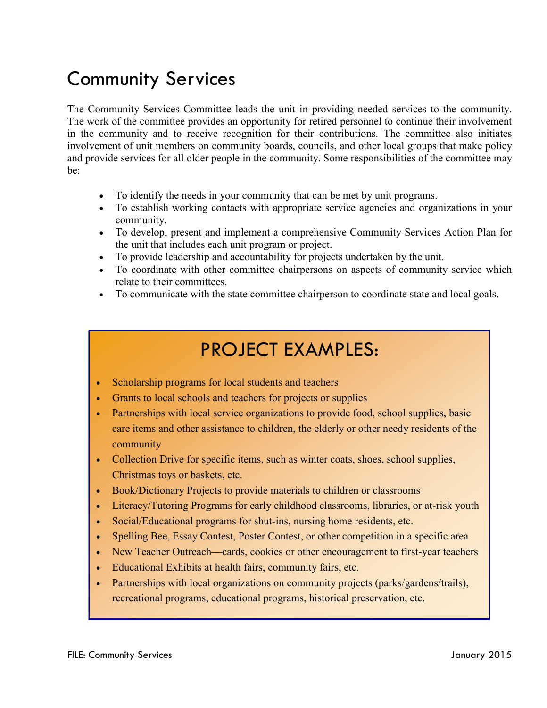# Community Services

The Community Services Committee leads the unit in providing needed services to the community. The work of the committee provides an opportunity for retired personnel to continue their involvement in the community and to receive recognition for their contributions. The committee also initiates involvement of unit members on community boards, councils, and other local groups that make policy and provide services for all older people in the community. Some responsibilities of the committee may be:

- To identify the needs in your community that can be met by unit programs.
- To establish working contacts with appropriate service agencies and organizations in your community.
- To develop, present and implement a comprehensive Community Services Action Plan for the unit that includes each unit program or project.
- To provide leadership and accountability for projects undertaken by the unit.
- To coordinate with other committee chairpersons on aspects of community service which relate to their committees.
- To communicate with the state committee chairperson to coordinate state and local goals.

# PROJECT EXAMPLES:

- Scholarship programs for local students and teachers
- Grants to local schools and teachers for projects or supplies
- Partnerships with local service organizations to provide food, school supplies, basic care items and other assistance to children, the elderly or other needy residents of the community
- Collection Drive for specific items, such as winter coats, shoes, school supplies, Christmas toys or baskets, etc.
- Book/Dictionary Projects to provide materials to children or classrooms
- Literacy/Tutoring Programs for early childhood classrooms, libraries, or at-risk youth
- Social/Educational programs for shut-ins, nursing home residents, etc.
- Spelling Bee, Essay Contest, Poster Contest, or other competition in a specific area
- New Teacher Outreach—cards, cookies or other encouragement to first-year teachers
- Educational Exhibits at health fairs, community fairs, etc.
- Partnerships with local organizations on community projects (parks/gardens/trails), recreational programs, educational programs, historical preservation, etc.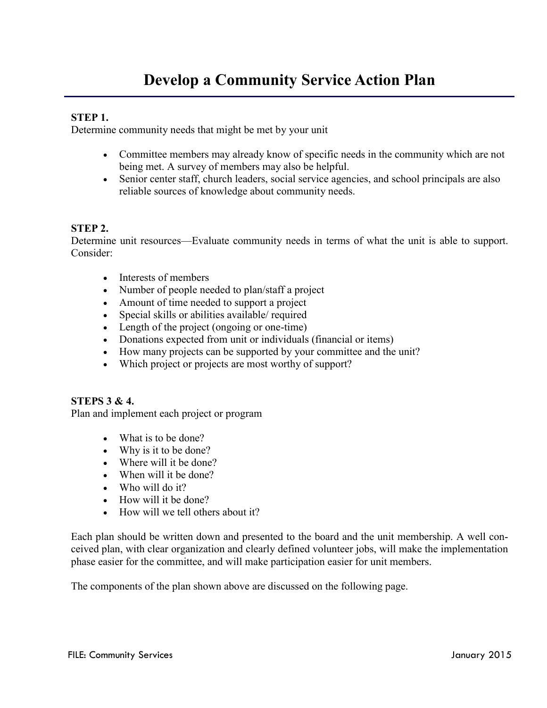#### **STEP 1.**

Determine community needs that might be met by your unit

- Committee members may already know of specific needs in the community which are not being met. A survey of members may also be helpful.
- Senior center staff, church leaders, social service agencies, and school principals are also reliable sources of knowledge about community needs.

#### **STEP 2.**

Determine unit resources—Evaluate community needs in terms of what the unit is able to support. Consider:

- Interests of members
- Number of people needed to plan/staff a project
- Amount of time needed to support a project
- Special skills or abilities available/ required
- Length of the project (ongoing or one-time)
- Donations expected from unit or individuals (financial or items)
- How many projects can be supported by your committee and the unit?
- Which project or projects are most worthy of support?

#### **STEPS 3 & 4.**

Plan and implement each project or program

- What is to be done?
- Why is it to be done?
- Where will it be done?
- When will it be done?
- Who will do it?
- How will it be done?
- How will we tell others about it?

Each plan should be written down and presented to the board and the unit membership. A well conceived plan, with clear organization and clearly defined volunteer jobs, will make the implementation phase easier for the committee, and will make participation easier for unit members.

The components of the plan shown above are discussed on the following page.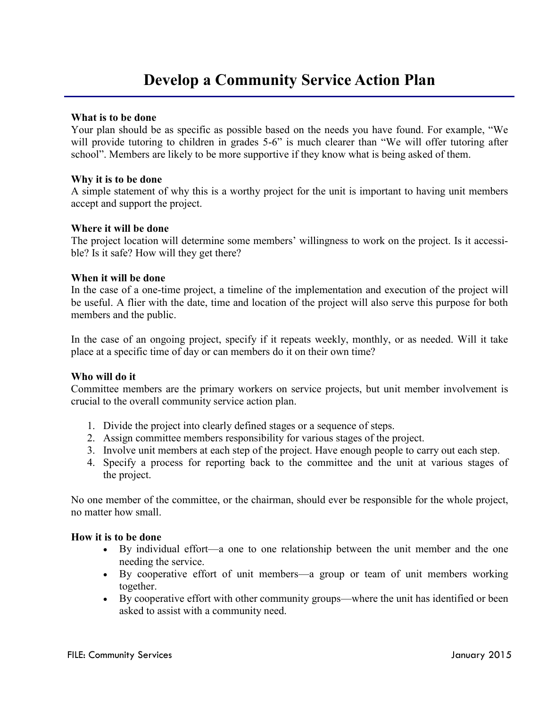### **Develop a Community Service Action Plan**

#### **What is to be done**

Your plan should be as specific as possible based on the needs you have found. For example, "We will provide tutoring to children in grades 5-6" is much clearer than "We will offer tutoring after school". Members are likely to be more supportive if they know what is being asked of them.

#### **Why it is to be done**

A simple statement of why this is a worthy project for the unit is important to having unit members accept and support the project.

#### **Where it will be done**

The project location will determine some members' willingness to work on the project. Is it accessible? Is it safe? How will they get there?

#### **When it will be done**

In the case of a one-time project, a timeline of the implementation and execution of the project will be useful. A flier with the date, time and location of the project will also serve this purpose for both members and the public.

In the case of an ongoing project, specify if it repeats weekly, monthly, or as needed. Will it take place at a specific time of day or can members do it on their own time?

#### **Who will do it**

Committee members are the primary workers on service projects, but unit member involvement is crucial to the overall community service action plan.

- 1. Divide the project into clearly defined stages or a sequence of steps.
- 2. Assign committee members responsibility for various stages of the project.
- 3. Involve unit members at each step of the project. Have enough people to carry out each step.
- 4. Specify a process for reporting back to the committee and the unit at various stages of the project.

No one member of the committee, or the chairman, should ever be responsible for the whole project, no matter how small.

#### **How it is to be done**

- By individual effort—a one to one relationship between the unit member and the one needing the service.
- By cooperative effort of unit members—a group or team of unit members working together.
- By cooperative effort with other community groups—where the unit has identified or been asked to assist with a community need.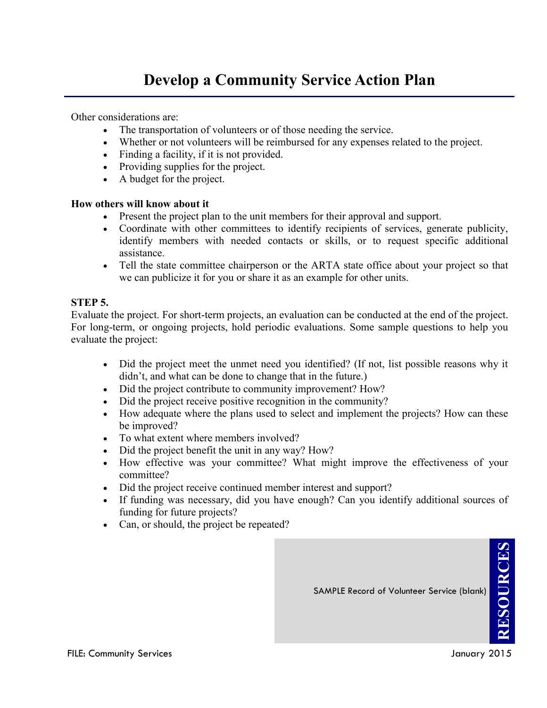### **Develop a Community Service Action Plan**

Other considerations are:

- The transportation of volunteers or of those needing the service.
- Whether or not volunteers will be reimbursed for any expenses related to the project.
- Finding a facility, if it is not provided.
- Providing supplies for the project.
- A budget for the project.

#### **How others will know about it**

- Present the project plan to the unit members for their approval and support.
- Coordinate with other committees to identify recipients of services, generate publicity, identify members with needed contacts or skills, or to request specific additional assistance.
- Tell the state committee chairperson or the ARTA state office about your project so that we can publicize it for you or share it as an example for other units.

#### **STEP 5.**

Evaluate the project. For short-term projects, an evaluation can be conducted at the end of the project. For long-term, or ongoing projects, hold periodic evaluations. Some sample questions to help you evaluate the project:

- Did the project meet the unmet need you identified? (If not, list possible reasons why it didn't, and what can be done to change that in the future.)
- Did the project contribute to community improvement? How?
- Did the project receive positive recognition in the community?
- How adequate where the plans used to select and implement the projects? How can these be improved?
- To what extent where members involved?
- Did the project benefit the unit in any way? How?
- How effective was your committee? What might improve the effectiveness of your committee?
- Did the project receive continued member interest and support?
- If funding was necessary, did you have enough? Can you identify additional sources of funding for future projects?
- Can, or should, the project be repeated?

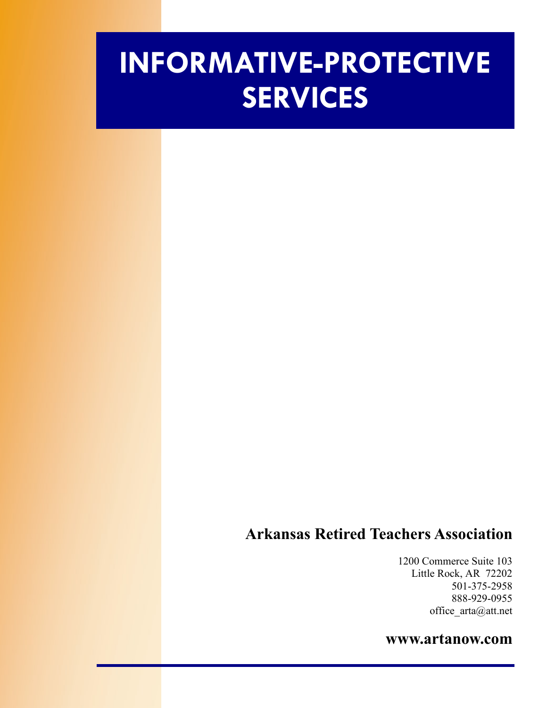# **INFORMATIVE-PROTECTIVE SERVICES**

### **Arkansas Retired Teachers Association**

1200 Commerce Suite 103 Little Rock, AR 72202 501-375-2958 888-929-0955 office\_arta@att.net

#### **www.artanow.com**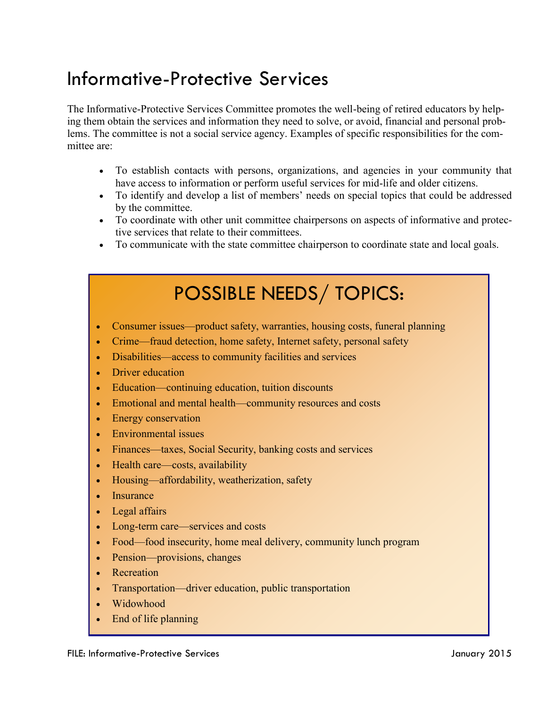# Informative-Protective Services

The Informative-Protective Services Committee promotes the well-being of retired educators by helping them obtain the services and information they need to solve, or avoid, financial and personal problems. The committee is not a social service agency. Examples of specific responsibilities for the committee are:

- To establish contacts with persons, organizations, and agencies in your community that have access to information or perform useful services for mid-life and older citizens.
- To identify and develop a list of members' needs on special topics that could be addressed by the committee.
- To coordinate with other unit committee chairpersons on aspects of informative and protective services that relate to their committees.
- To communicate with the state committee chairperson to coordinate state and local goals.

# POSSIBLE NEEDS/ TOPICS:

- Consumer issues—product safety, warranties, housing costs, funeral planning
- Crime—fraud detection, home safety, Internet safety, personal safety
- Disabilities—access to community facilities and services
- Driver education
- Education—continuing education, tuition discounts
- Emotional and mental health—community resources and costs
- Energy conservation
- Environmental issues
- Finances—taxes, Social Security, banking costs and services
- Health care—costs, availability
- Housing—affordability, weatherization, safety
- Insurance
- Legal affairs
- Long-term care—services and costs
- Food—food insecurity, home meal delivery, community lunch program
- Pension—provisions, changes
- Recreation
- Transportation—driver education, public transportation
- Widowhood
- End of life planning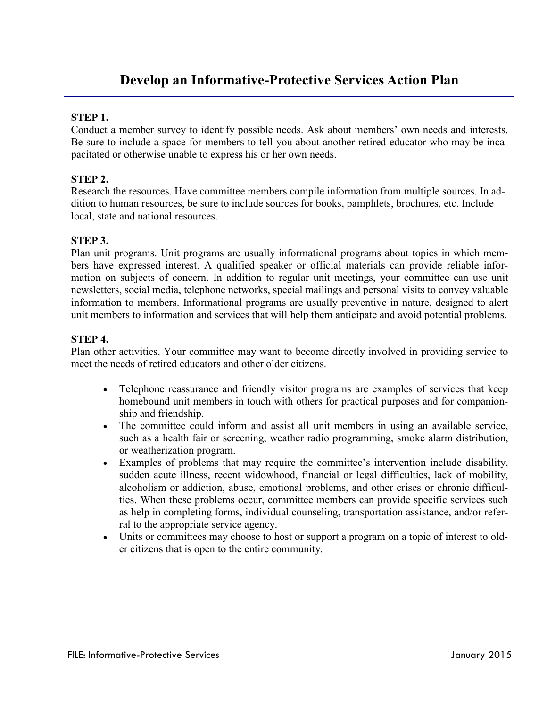#### **STEP 1.**

Conduct a member survey to identify possible needs. Ask about members' own needs and interests. Be sure to include a space for members to tell you about another retired educator who may be incapacitated or otherwise unable to express his or her own needs.

#### **STEP 2.**

Research the resources. Have committee members compile information from multiple sources. In addition to human resources, be sure to include sources for books, pamphlets, brochures, etc. Include local, state and national resources.

#### **STEP 3.**

Plan unit programs. Unit programs are usually informational programs about topics in which members have expressed interest. A qualified speaker or official materials can provide reliable information on subjects of concern. In addition to regular unit meetings, your committee can use unit newsletters, social media, telephone networks, special mailings and personal visits to convey valuable information to members. Informational programs are usually preventive in nature, designed to alert unit members to information and services that will help them anticipate and avoid potential problems.

#### **STEP 4.**

Plan other activities. Your committee may want to become directly involved in providing service to meet the needs of retired educators and other older citizens.

- Telephone reassurance and friendly visitor programs are examples of services that keep homebound unit members in touch with others for practical purposes and for companionship and friendship.
- The committee could inform and assist all unit members in using an available service, such as a health fair or screening, weather radio programming, smoke alarm distribution, or weatherization program.
- Examples of problems that may require the committee's intervention include disability, sudden acute illness, recent widowhood, financial or legal difficulties, lack of mobility, alcoholism or addiction, abuse, emotional problems, and other crises or chronic difficulties. When these problems occur, committee members can provide specific services such as help in completing forms, individual counseling, transportation assistance, and/or referral to the appropriate service agency.
- Units or committees may choose to host or support a program on a topic of interest to older citizens that is open to the entire community.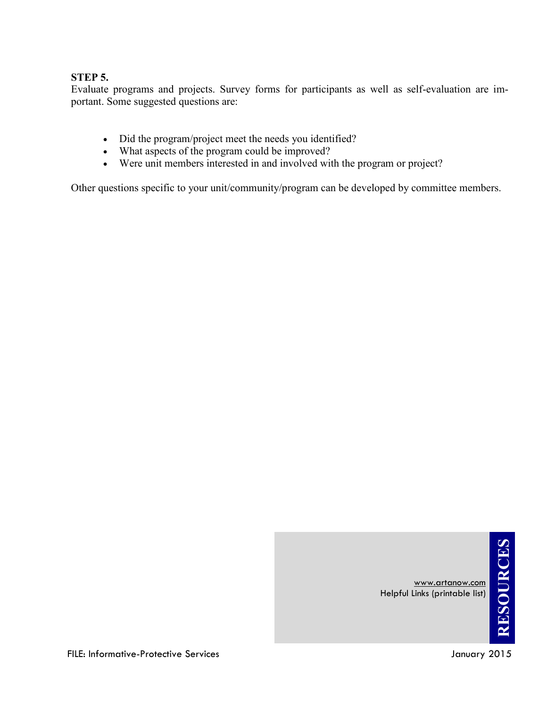#### **STEP 5.**

Evaluate programs and projects. Survey forms for participants as well as self-evaluation are important. Some suggested questions are:

- Did the program/project meet the needs you identified?
- What aspects of the program could be improved?
- Were unit members interested in and involved with the program or project?

Other questions specific to your unit/community/program can be developed by committee members.



www.artanow.com

Helpful Links (printable list)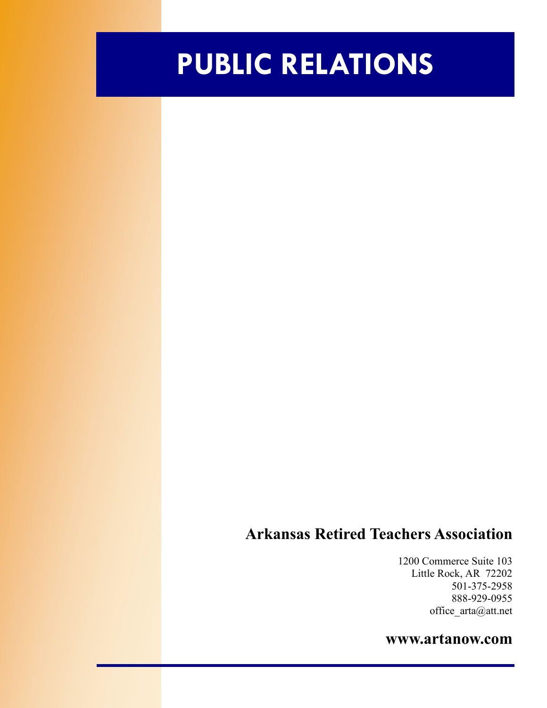# **PUBLIC RELATIONS**

### **Arkansas Retired Teachers Association**

1200 Commerce Suite 103 Little Rock, AR 72202 501-375-2958 888-929-0955 office\_arta@att.net

#### **www.artanow.com**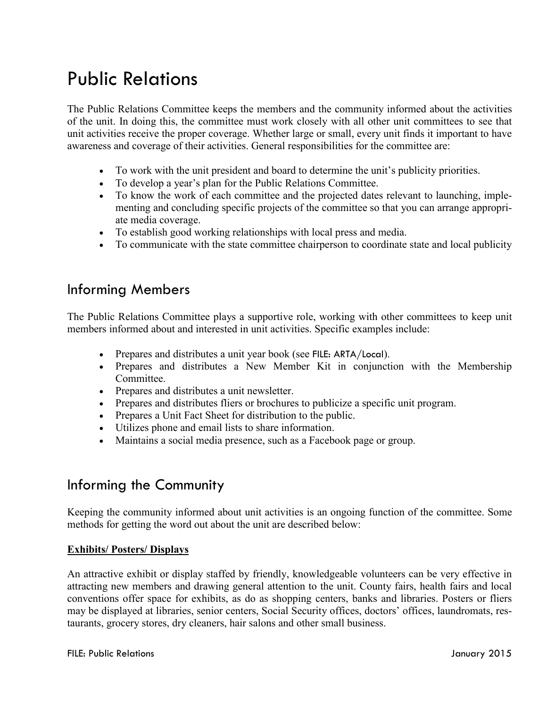# Public Relations

The Public Relations Committee keeps the members and the community informed about the activities of the unit. In doing this, the committee must work closely with all other unit committees to see that unit activities receive the proper coverage. Whether large or small, every unit finds it important to have awareness and coverage of their activities. General responsibilities for the committee are:

- To work with the unit president and board to determine the unit's publicity priorities.
- To develop a year's plan for the Public Relations Committee.
- To know the work of each committee and the projected dates relevant to launching, implementing and concluding specific projects of the committee so that you can arrange appropriate media coverage.
- To establish good working relationships with local press and media.
- To communicate with the state committee chairperson to coordinate state and local publicity

### Informing Members

The Public Relations Committee plays a supportive role, working with other committees to keep unit members informed about and interested in unit activities. Specific examples include:

- Prepares and distributes a unit year book (see FILE: ARTA/Local).
- Prepares and distributes a New Member Kit in conjunction with the Membership **Committee**
- Prepares and distributes a unit newsletter.
- Prepares and distributes fliers or brochures to publicize a specific unit program.
- Prepares a Unit Fact Sheet for distribution to the public.
- Utilizes phone and email lists to share information.
- Maintains a social media presence, such as a Facebook page or group.

### Informing the Community

Keeping the community informed about unit activities is an ongoing function of the committee. Some methods for getting the word out about the unit are described below:

#### **Exhibits/ Posters/ Displays**

An attractive exhibit or display staffed by friendly, knowledgeable volunteers can be very effective in attracting new members and drawing general attention to the unit. County fairs, health fairs and local conventions offer space for exhibits, as do as shopping centers, banks and libraries. Posters or fliers may be displayed at libraries, senior centers, Social Security offices, doctors' offices, laundromats, restaurants, grocery stores, dry cleaners, hair salons and other small business.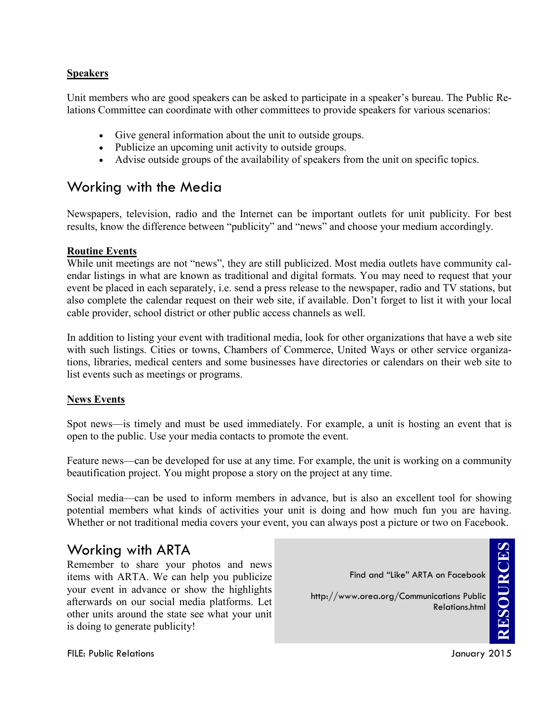#### **Speakers**

Unit members who are good speakers can be asked to participate in a speaker's bureau. The Public Relations Committee can coordinate with other committees to provide speakers for various scenarios:

- Give general information about the unit to outside groups.
- Publicize an upcoming unit activity to outside groups.
- Advise outside groups of the availability of speakers from the unit on specific topics.

### Working with the Media

Newspapers, television, radio and the Internet can be important outlets for unit publicity. For best results, know the difference between "publicity" and "news" and choose your medium accordingly.

#### **Routine Events**

While unit meetings are not "news", they are still publicized. Most media outlets have community calendar listings in what are known as traditional and digital formats. You may need to request that your event be placed in each separately, i.e. send a press release to the newspaper, radio and TV stations, but also complete the calendar request on their web site, if available. Don't forget to list it with your local cable provider, school district or other public access channels as well.

In addition to listing your event with traditional media, look for other organizations that have a web site with such listings. Cities or towns, Chambers of Commerce, United Ways or other service organizations, libraries, medical centers and some businesses have directories or calendars on their web site to list events such as meetings or programs.

#### **News Events**

Spot news—is timely and must be used immediately. For example, a unit is hosting an event that is open to the public. Use your media contacts to promote the event.

Feature news—can be developed for use at any time. For example, the unit is working on a community beautification project. You might propose a story on the project at any time.

Social media—can be used to inform members in advance, but is also an excellent tool for showing potential members what kinds of activities your unit is doing and how much fun you are having. Whether or not traditional media covers your event, you can always post a picture or two on Facebook.

### Working with ARTA

Remember to share your photos and news items with ARTA. We can help you publicize your event in advance or show the highlights afterwards on our social media platforms. Let other units around the state see what your unit is doing to generate publicity!

**RESOURCESRESOURCES** Find and "Like" ARTA on Facebook http://www.orea.org/Communications Public Relations.html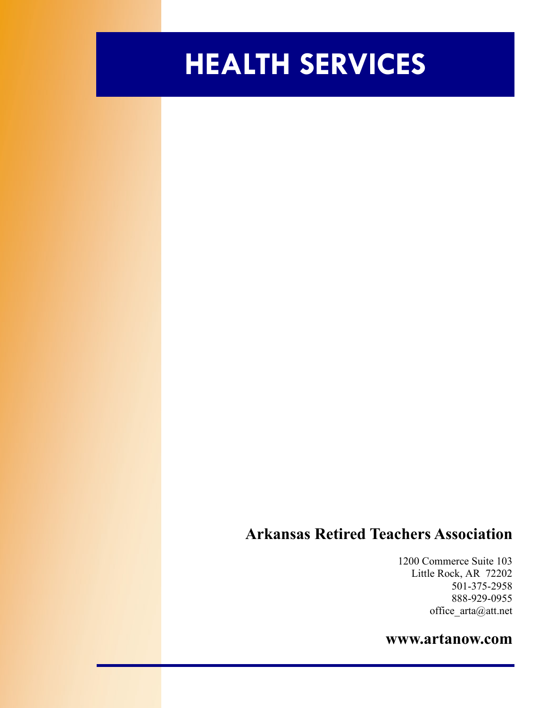# **HEALTH SERVICES**

### **Arkansas Retired Teachers Association**

1200 Commerce Suite 103 Little Rock, AR 72202 501-375-2958 888-929-0955 office\_arta@att.net

#### **www.artanow.com**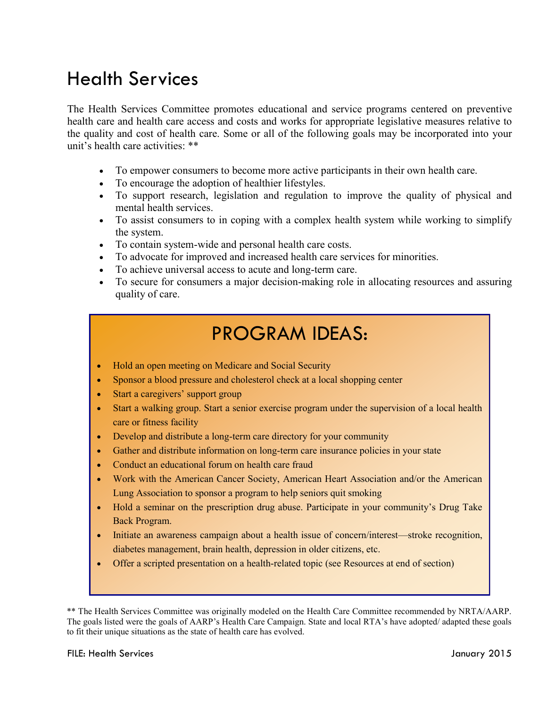## Health Services

The Health Services Committee promotes educational and service programs centered on preventive health care and health care access and costs and works for appropriate legislative measures relative to the quality and cost of health care. Some or all of the following goals may be incorporated into your unit's health care activities: \*\*

- To empower consumers to become more active participants in their own health care.
- To encourage the adoption of healthier lifestyles.
- To support research, legislation and regulation to improve the quality of physical and mental health services.
- To assist consumers to in coping with a complex health system while working to simplify the system.
- To contain system-wide and personal health care costs.
- To advocate for improved and increased health care services for minorities.
- To achieve universal access to acute and long-term care.
- To secure for consumers a major decision-making role in allocating resources and assuring quality of care.

## PROGRAM IDEAS:

- Hold an open meeting on Medicare and Social Security
- Sponsor a blood pressure and cholesterol check at a local shopping center
- Start a caregivers' support group
- Start a walking group. Start a senior exercise program under the supervision of a local health care or fitness facility
- Develop and distribute a long-term care directory for your community
- Gather and distribute information on long-term care insurance policies in your state
- Conduct an educational forum on health care fraud
- Work with the American Cancer Society, American Heart Association and/or the American Lung Association to sponsor a program to help seniors quit smoking
- Hold a seminar on the prescription drug abuse. Participate in your community's Drug Take Back Program.
- Initiate an awareness campaign about a health issue of concern/interest—stroke recognition, diabetes management, brain health, depression in older citizens, etc.
- Offer a scripted presentation on a health-related topic (see Resources at end of section)

\*\* The Health Services Committee was originally modeled on the Health Care Committee recommended by NRTA/AARP. The goals listed were the goals of AARP's Health Care Campaign. State and local RTA's have adopted/ adapted these goals to fit their unique situations as the state of health care has evolved.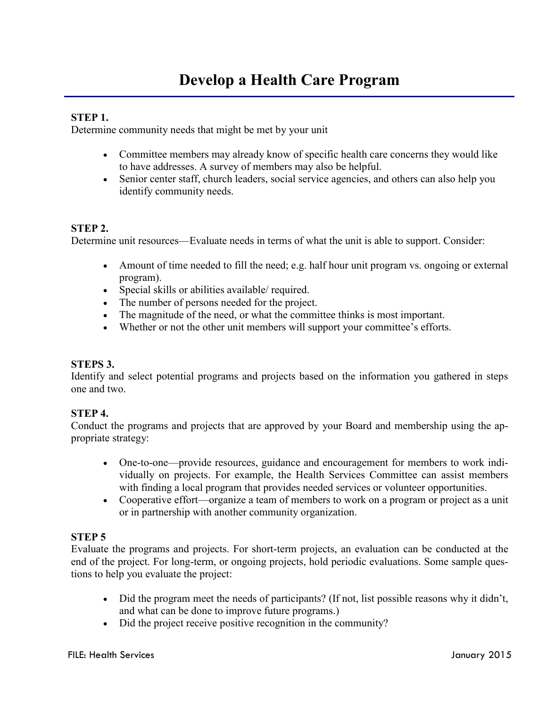#### **STEP 1.**

Determine community needs that might be met by your unit

- Committee members may already know of specific health care concerns they would like to have addresses. A survey of members may also be helpful.
- Senior center staff, church leaders, social service agencies, and others can also help you identify community needs.

#### **STEP 2.**

Determine unit resources—Evaluate needs in terms of what the unit is able to support. Consider:

- Amount of time needed to fill the need; e.g. half hour unit program vs. ongoing or external program).
- Special skills or abilities available/ required.
- The number of persons needed for the project.
- The magnitude of the need, or what the committee thinks is most important.
- Whether or not the other unit members will support your committee's efforts.

#### **STEPS 3.**

Identify and select potential programs and projects based on the information you gathered in steps one and two.

#### **STEP 4.**

Conduct the programs and projects that are approved by your Board and membership using the appropriate strategy:

- One-to-one—provide resources, guidance and encouragement for members to work individually on projects. For example, the Health Services Committee can assist members with finding a local program that provides needed services or volunteer opportunities.
- Cooperative effort—organize a team of members to work on a program or project as a unit or in partnership with another community organization.

#### **STEP 5**

Evaluate the programs and projects. For short-term projects, an evaluation can be conducted at the end of the project. For long-term, or ongoing projects, hold periodic evaluations. Some sample questions to help you evaluate the project:

- Did the program meet the needs of participants? (If not, list possible reasons why it didn't, and what can be done to improve future programs.)
- Did the project receive positive recognition in the community?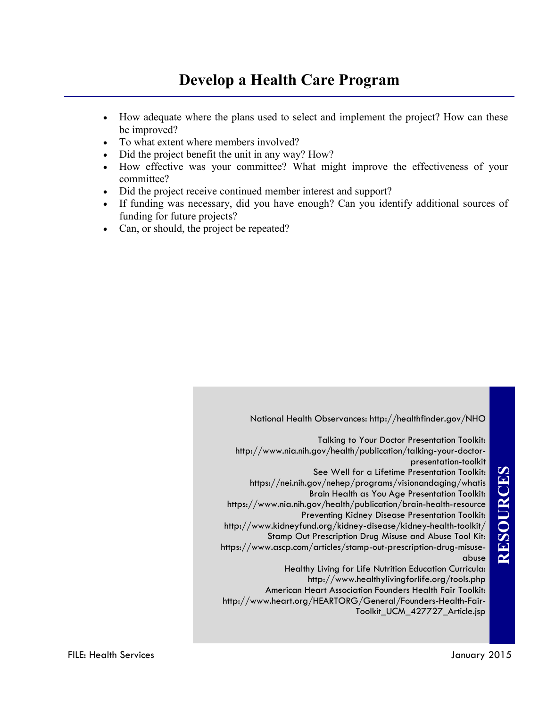### **Develop a Health Care Program**

- How adequate where the plans used to select and implement the project? How can these be improved?
- To what extent where members involved?
- Did the project benefit the unit in any way? How?
- How effective was your committee? What might improve the effectiveness of your committee?
- Did the project receive continued member interest and support?
- If funding was necessary, did you have enough? Can you identify additional sources of funding for future projects?
- Can, or should, the project be repeated?

National Health Observances: http://healthfinder.gov/NHO Talking to Your Doctor Presentation Toolkit: http://www.nia.nih.gov/health/publication/talking-your-doctorpresentation-toolkit See Well for a Lifetime Presentation Toolkit: https://nei.nih.gov/nehep/programs/visionandaging/whatis Brain Health as You Age Presentation Toolkit: https://www.nia.nih.gov/health/publication/brain-health-resource Preventing Kidney Disease Presentation Toolkit: http://www.kidneyfund.org/kidney-disease/kidney-health-toolkit/ Stamp Out Prescription Drug Misuse and Abuse Tool Kit: https://www.ascp.com/articles/stamp-out-prescription-drug-misuseabuse Healthy Living for Life Nutrition Education Curricula: http://www.healthylivingforlife.org/tools.php American Heart Association Founders Health Fair Toolkit: http://www.heart.org/HEARTORG/General/Founders-Health-Fair-

Toolkit\_UCM\_427727\_Article.jsp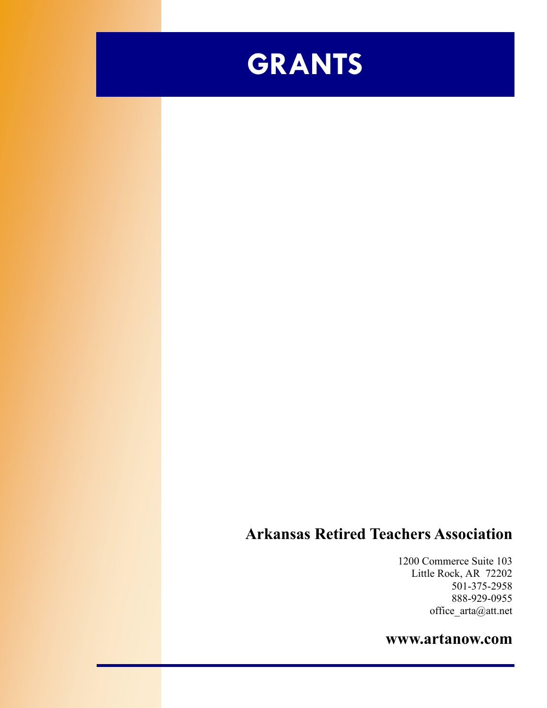

### **Arkansas Retired Teachers Association**

1200 Commerce Suite 103 Little Rock, AR 72202 501-375-2958 888-929-0955 office\_arta@att.net

### **www.artanow.com**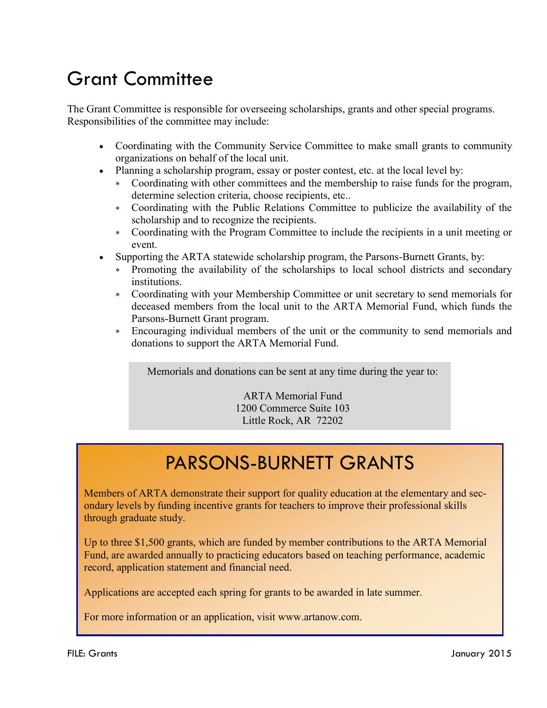# Grant Committee

The Grant Committee is responsible for overseeing scholarships, grants and other special programs. Responsibilities of the committee may include:

- Coordinating with the Community Service Committee to make small grants to community organizations on behalf of the local unit.
- Planning a scholarship program, essay or poster contest, etc. at the local level by:
	- Coordinating with other committees and the membership to raise funds for the program, determine selection criteria, choose recipients, etc..
	- Coordinating with the Public Relations Committee to publicize the availability of the scholarship and to recognize the recipients.
	- Coordinating with the Program Committee to include the recipients in a unit meeting or event.
- Supporting the ARTA statewide scholarship program, the Parsons-Burnett Grants, by:
	- Promoting the availability of the scholarships to local school districts and secondary institutions.
	- Coordinating with your Membership Committee or unit secretary to send memorials for deceased members from the local unit to the ARTA Memorial Fund, which funds the Parsons-Burnett Grant program.
	- Encouraging individual members of the unit or the community to send memorials and donations to support the ARTA Memorial Fund.

Memorials and donations can be sent at any time during the year to:

ARTA Memorial Fund 1200 Commerce Suite 103 Little Rock, AR 72202

## PARSONS-BURNETT GRANTS

Members of ARTA demonstrate their support for quality education at the elementary and secondary levels by funding incentive grants for teachers to improve their professional skills through graduate study.

Up to three \$1,500 grants, which are funded by member contributions to the ARTA Memorial Fund, are awarded annually to practicing educators based on teaching performance, academic record, application statement and financial need.

Applications are accepted each spring for grants to be awarded in late summer.

For more information or an application, visit www.artanow.com.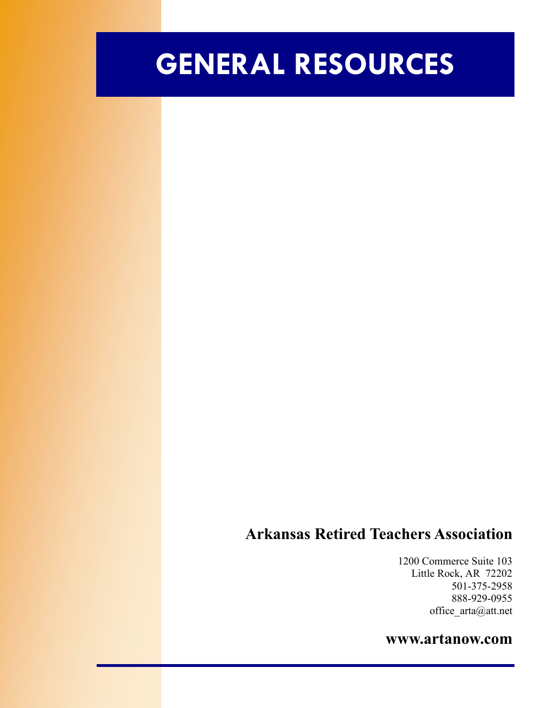# **GENERAL RESOURCES**

### **Arkansas Retired Teachers Association**

1200 Commerce Suite 103 Little Rock, AR 72202 501-375-2958 888-929-0955 office\_arta@att.net

#### **www.artanow.com**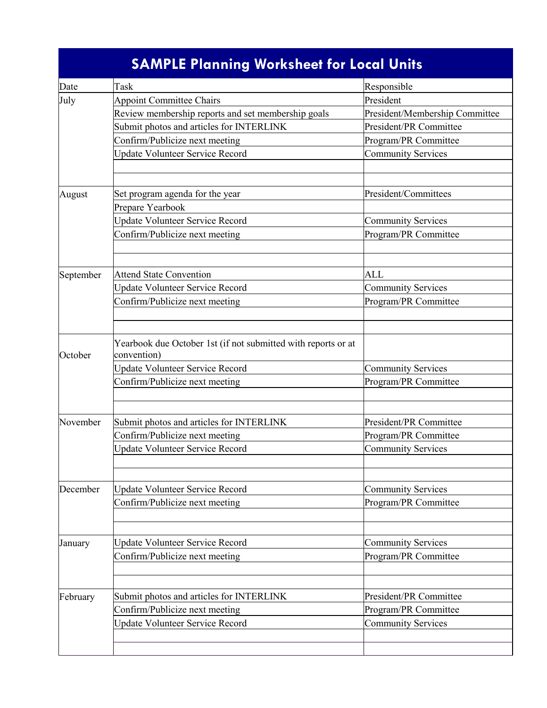|           | <b>SAMPLE Planning Worksheet for Local Units</b>                             |                                |
|-----------|------------------------------------------------------------------------------|--------------------------------|
| Date      | Task                                                                         | Responsible                    |
| July      | <b>Appoint Committee Chairs</b>                                              | President                      |
|           | Review membership reports and set membership goals                           | President/Membership Committee |
|           | Submit photos and articles for INTERLINK                                     | President/PR Committee         |
|           | Confirm/Publicize next meeting                                               | Program/PR Committee           |
|           | <b>Update Volunteer Service Record</b>                                       | <b>Community Services</b>      |
|           |                                                                              |                                |
|           |                                                                              |                                |
| August    | Set program agenda for the year                                              | President/Committees           |
|           | Prepare Yearbook                                                             |                                |
|           | <b>Update Volunteer Service Record</b>                                       | <b>Community Services</b>      |
|           | Confirm/Publicize next meeting                                               | Program/PR Committee           |
|           |                                                                              |                                |
| September | <b>Attend State Convention</b>                                               | <b>ALL</b>                     |
|           | <b>Update Volunteer Service Record</b>                                       | <b>Community Services</b>      |
|           | Confirm/Publicize next meeting                                               | Program/PR Committee           |
|           |                                                                              |                                |
| October   | Yearbook due October 1st (if not submitted with reports or at<br>convention) |                                |
|           | <b>Update Volunteer Service Record</b>                                       | <b>Community Services</b>      |
|           | Confirm/Publicize next meeting                                               | Program/PR Committee           |
|           |                                                                              |                                |
|           |                                                                              |                                |
| November  | Submit photos and articles for INTERLINK                                     | President/PR Committee         |
|           | Confirm/Publicize next meeting                                               | Program/PR Committee           |
|           | <b>Update Volunteer Service Record</b>                                       | <b>Community Services</b>      |
|           |                                                                              |                                |
| December  | <b>Update Volunteer Service Record</b>                                       | <b>Community Services</b>      |
|           | Confirm/Publicize next meeting                                               | Program/PR Committee           |
|           |                                                                              |                                |
|           |                                                                              |                                |
| January   | <b>Update Volunteer Service Record</b>                                       | <b>Community Services</b>      |
|           | Confirm/Publicize next meeting                                               | Program/PR Committee           |
|           |                                                                              |                                |
|           |                                                                              |                                |
| February  | Submit photos and articles for INTERLINK                                     | President/PR Committee         |
|           | Confirm/Publicize next meeting                                               | Program/PR Committee           |
|           | <b>Update Volunteer Service Record</b>                                       | <b>Community Services</b>      |
|           |                                                                              |                                |
|           |                                                                              |                                |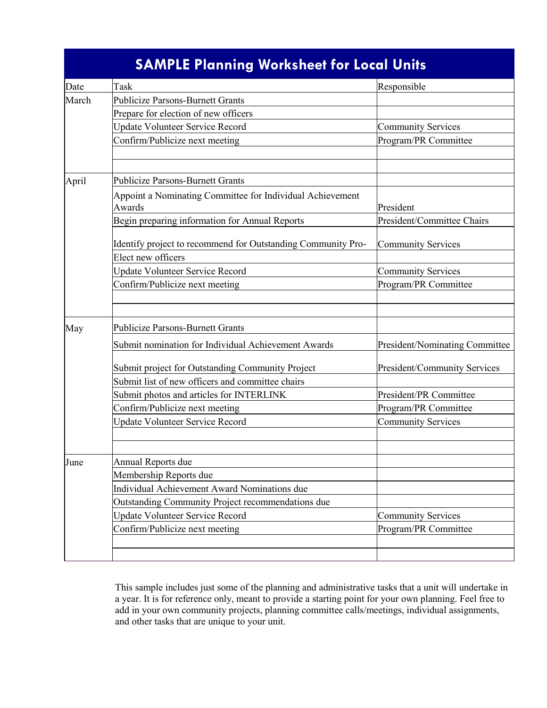|       | <b>SAMPLE Planning Worksheet for Local Units</b>                    |                                |
|-------|---------------------------------------------------------------------|--------------------------------|
| Date  | Task                                                                | Responsible                    |
| March | <b>Publicize Parsons-Burnett Grants</b>                             |                                |
|       | Prepare for election of new officers                                |                                |
|       | <b>Update Volunteer Service Record</b>                              | <b>Community Services</b>      |
|       | Confirm/Publicize next meeting                                      | Program/PR Committee           |
|       |                                                                     |                                |
| April | <b>Publicize Parsons-Burnett Grants</b>                             |                                |
|       | Appoint a Nominating Committee for Individual Achievement<br>Awards | President                      |
|       | Begin preparing information for Annual Reports                      | President/Committee Chairs     |
|       | Identify project to recommend for Outstanding Community Pro-        | <b>Community Services</b>      |
|       | Elect new officers                                                  |                                |
|       | <b>Update Volunteer Service Record</b>                              | <b>Community Services</b>      |
|       | Confirm/Publicize next meeting                                      | Program/PR Committee           |
|       |                                                                     |                                |
| May   | <b>Publicize Parsons-Burnett Grants</b>                             |                                |
|       | Submit nomination for Individual Achievement Awards                 | President/Nominating Committee |
|       | Submit project for Outstanding Community Project                    | President/Community Services   |
|       | Submit list of new officers and committee chairs                    |                                |
|       | Submit photos and articles for INTERLINK                            | President/PR Committee         |
|       | Confirm/Publicize next meeting                                      | Program/PR Committee           |
|       | <b>Update Volunteer Service Record</b>                              | <b>Community Services</b>      |
|       |                                                                     |                                |
| June  | Annual Reports due                                                  |                                |
|       | Membership Reports due                                              |                                |
|       | Individual Achievement Award Nominations due                        |                                |
|       | Outstanding Community Project recommendations due                   |                                |
|       | <b>Update Volunteer Service Record</b>                              | <b>Community Services</b>      |
|       | Confirm/Publicize next meeting                                      | Program/PR Committee           |
|       |                                                                     |                                |
|       |                                                                     |                                |

This sample includes just some of the planning and administrative tasks that a unit will undertake in a year. It is for reference only, meant to provide a starting point for your own planning. Feel free to add in your own community projects, planning committee calls/meetings, individual assignments, and other tasks that are unique to your unit.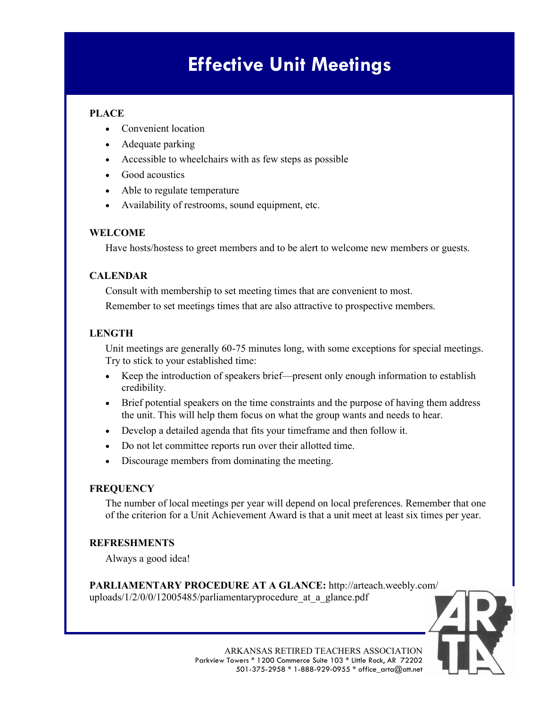# **Effective Unit Meetings**

#### **PLACE**

- Convenient location
- Adequate parking
- Accessible to wheelchairs with as few steps as possible
- Good acoustics
- Able to regulate temperature
- Availability of restrooms, sound equipment, etc.

#### **WELCOME**

Have hosts/hostess to greet members and to be alert to welcome new members or guests.

#### **CALENDAR**

Consult with membership to set meeting times that are convenient to most. Remember to set meetings times that are also attractive to prospective members.

#### **LENGTH**

Unit meetings are generally 60-75 minutes long, with some exceptions for special meetings. Try to stick to your established time:

- Keep the introduction of speakers brief—present only enough information to establish credibility.
- Brief potential speakers on the time constraints and the purpose of having them address the unit. This will help them focus on what the group wants and needs to hear.
- Develop a detailed agenda that fits your timeframe and then follow it.
- Do not let committee reports run over their allotted time.
- Discourage members from dominating the meeting.

#### **FREQUENCY**

The number of local meetings per year will depend on local preferences. Remember that one of the criterion for a Unit Achievement Award is that a unit meet at least six times per year.

#### **REFRESHMENTS**

Always a good idea!

**PARLIAMENTARY PROCEDURE AT A GLANCE:** http://arteach.weebly.com/ uploads/1/2/0/0/12005485/parliamentaryprocedure at a glance.pdf

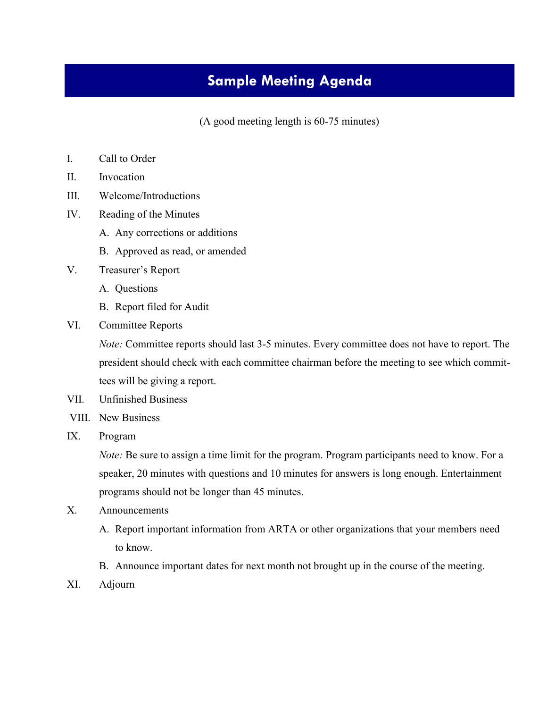### **Sample Meeting Agenda**

(A good meeting length is 60-75 minutes)

- I. Call to Order
- II. Invocation
- III. Welcome/Introductions
- IV. Reading of the Minutes
	- A. Any corrections or additions
	- B. Approved as read, or amended
- V. Treasurer's Report
	- A. Questions
	- B. Report filed for Audit
- VI. Committee Reports

*Note:* Committee reports should last 3-5 minutes. Every committee does not have to report. The president should check with each committee chairman before the meeting to see which committees will be giving a report.

- VII. Unfinished Business
- VIII. New Business
- IX. Program

*Note:* Be sure to assign a time limit for the program. Program participants need to know. For a speaker, 20 minutes with questions and 10 minutes for answers is long enough. Entertainment programs should not be longer than 45 minutes.

- X. Announcements
	- A. Report important information from ARTA or other organizations that your members need to know.
	- B. Announce important dates for next month not brought up in the course of the meeting.
- XI. Adjourn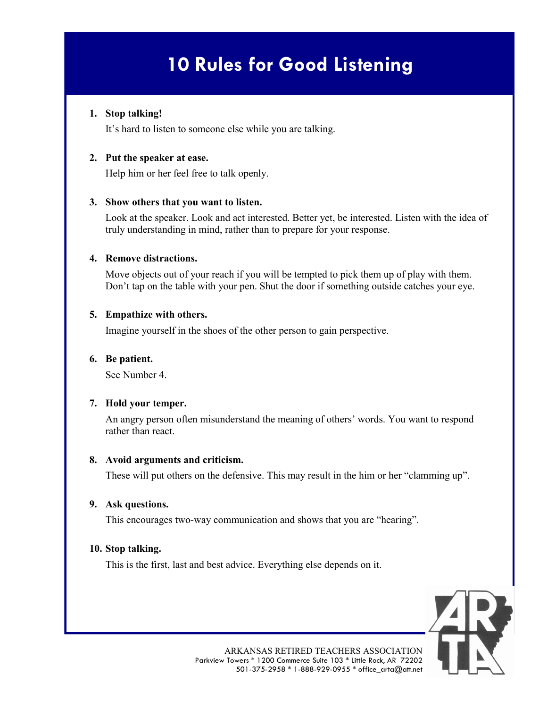# **10 Rules for Good Listening**

#### **1. Stop talking!**

It's hard to listen to someone else while you are talking.

#### **2. Put the speaker at ease.**

Help him or her feel free to talk openly.

#### **3. Show others that you want to listen.**

Look at the speaker. Look and act interested. Better yet, be interested. Listen with the idea of truly understanding in mind, rather than to prepare for your response.

#### **4. Remove distractions.**

Move objects out of your reach if you will be tempted to pick them up of play with them. Don't tap on the table with your pen. Shut the door if something outside catches your eye.

#### **5. Empathize with others.**

Imagine yourself in the shoes of the other person to gain perspective.

#### **6. Be patient.**

See Number 4.

#### **7. Hold your temper.**

An angry person often misunderstand the meaning of others' words. You want to respond rather than react.

#### **8. Avoid arguments and criticism.**

These will put others on the defensive. This may result in the him or her "clamming up".

#### **9. Ask questions.**

This encourages two-way communication and shows that you are "hearing".

#### **10. Stop talking.**

This is the first, last and best advice. Everything else depends on it.

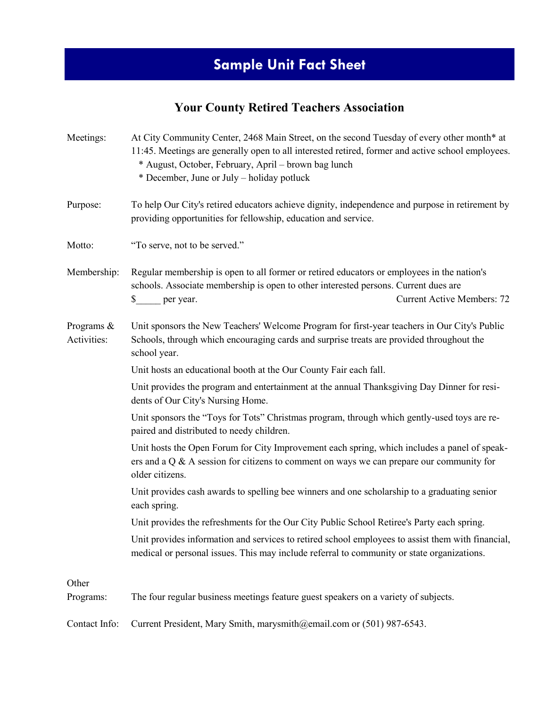### **Sample Unit Fact Sheet**

### **Your County Retired Teachers Association**

| Meetings:                    | At City Community Center, 2468 Main Street, on the second Tuesday of every other month* at<br>11:45. Meetings are generally open to all interested retired, former and active school employees.<br>* August, October, February, April - brown bag lunch<br>* December, June or July – holiday potluck |
|------------------------------|-------------------------------------------------------------------------------------------------------------------------------------------------------------------------------------------------------------------------------------------------------------------------------------------------------|
| Purpose:                     | To help Our City's retired educators achieve dignity, independence and purpose in retirement by<br>providing opportunities for fellowship, education and service.                                                                                                                                     |
| Motto:                       | "To serve, not to be served."                                                                                                                                                                                                                                                                         |
| Membership:                  | Regular membership is open to all former or retired educators or employees in the nation's<br>schools. Associate membership is open to other interested persons. Current dues are<br><b>Current Active Members: 72</b><br>\$ per year.                                                                |
| Programs $\&$<br>Activities: | Unit sponsors the New Teachers' Welcome Program for first-year teachers in Our City's Public<br>Schools, through which encouraging cards and surprise treats are provided throughout the<br>school year.                                                                                              |
|                              | Unit hosts an educational booth at the Our County Fair each fall.                                                                                                                                                                                                                                     |
|                              | Unit provides the program and entertainment at the annual Thanksgiving Day Dinner for resi-<br>dents of Our City's Nursing Home.                                                                                                                                                                      |
|                              | Unit sponsors the "Toys for Tots" Christmas program, through which gently-used toys are re-<br>paired and distributed to needy children.                                                                                                                                                              |
|                              | Unit hosts the Open Forum for City Improvement each spring, which includes a panel of speak-<br>ers and a $Q$ & A session for citizens to comment on ways we can prepare our community for<br>older citizens.                                                                                         |
|                              | Unit provides cash awards to spelling bee winners and one scholarship to a graduating senior<br>each spring.                                                                                                                                                                                          |
|                              | Unit provides the refreshments for the Our City Public School Retiree's Party each spring.                                                                                                                                                                                                            |
|                              | Unit provides information and services to retired school employees to assist them with financial,<br>medical or personal issues. This may include referral to community or state organizations.                                                                                                       |
| Other<br>Programs:           | The four regular business meetings feature guest speakers on a variety of subjects.                                                                                                                                                                                                                   |

Contact Info: Current President, Mary Smith, marysmith@email.com or (501) 987-6543.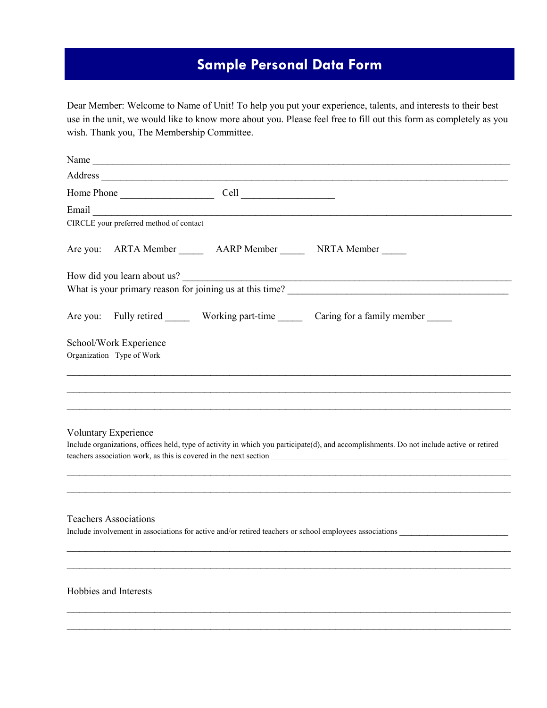### **Sample Personal Data Form**

Dear Member: Welcome to Name of Unit! To help you put your experience, talents, and interests to their best use in the unit, we would like to know more about you. Please feel free to fill out this form as completely as you wish. Thank you, The Membership Committee.

|                           |                                         | Name                                                                                                                                                                                                                           |                                                                                            |
|---------------------------|-----------------------------------------|--------------------------------------------------------------------------------------------------------------------------------------------------------------------------------------------------------------------------------|--------------------------------------------------------------------------------------------|
|                           |                                         | Address experiences and the contract of the contract of the contract of the contract of the contract of the contract of the contract of the contract of the contract of the contract of the contract of the contract of the co |                                                                                            |
|                           |                                         |                                                                                                                                                                                                                                |                                                                                            |
|                           |                                         | Email Communication of the communication of the communication of the communication of the communication of the communication of the communication of the communication of the communication of the communication of the commun |                                                                                            |
|                           | CIRCLE your preferred method of contact |                                                                                                                                                                                                                                |                                                                                            |
|                           |                                         | Are you: ARTA Member ________ AARP Member ________ NRTA Member ______                                                                                                                                                          |                                                                                            |
|                           |                                         | How did you learn about us?                                                                                                                                                                                                    |                                                                                            |
|                           |                                         |                                                                                                                                                                                                                                |                                                                                            |
|                           |                                         |                                                                                                                                                                                                                                | Are you: Fully retired _______ Working part-time _______ Caring for a family member ______ |
| School/Work Experience    |                                         |                                                                                                                                                                                                                                |                                                                                            |
| Organization Type of Work |                                         |                                                                                                                                                                                                                                |                                                                                            |
|                           |                                         |                                                                                                                                                                                                                                |                                                                                            |
|                           |                                         |                                                                                                                                                                                                                                |                                                                                            |
|                           |                                         |                                                                                                                                                                                                                                |                                                                                            |

#### Voluntary Experience

Include organizations, offices held, type of activity in which you participate(d), and accomplishments. Do not include active or retired teachers association work, as this is covered in the next section \_\_\_\_\_\_\_\_\_\_\_\_\_\_\_\_\_\_\_\_\_\_\_\_\_\_\_\_\_\_\_\_\_\_\_\_\_\_\_\_\_\_\_\_\_\_\_\_\_\_\_\_\_\_\_\_\_\_\_

 $\mathcal{L}_\text{max} = \mathcal{L}_\text{max} = \mathcal{L}_\text{max} = \mathcal{L}_\text{max} = \mathcal{L}_\text{max} = \mathcal{L}_\text{max} = \mathcal{L}_\text{max} = \mathcal{L}_\text{max} = \mathcal{L}_\text{max} = \mathcal{L}_\text{max} = \mathcal{L}_\text{max} = \mathcal{L}_\text{max} = \mathcal{L}_\text{max} = \mathcal{L}_\text{max} = \mathcal{L}_\text{max} = \mathcal{L}_\text{max} = \mathcal{L}_\text{max} = \mathcal{L}_\text{max} = \mathcal{$  $\_$  , and the contribution of the contribution of  $\mathcal{L}_1$  , and  $\mathcal{L}_2$  , and  $\mathcal{L}_3$  , and  $\mathcal{L}_4$  , and  $\mathcal{L}_5$ 

 $\_$  , and the contribution of the contribution of  $\mathcal{L}_1$  , and  $\mathcal{L}_2$  , and  $\mathcal{L}_3$  , and  $\mathcal{L}_4$  , and  $\mathcal{L}_5$  $\_$  , and the set of the set of the set of the set of the set of the set of the set of the set of the set of the set of the set of the set of the set of the set of the set of the set of the set of the set of the set of th

 $\_$  , and the contribution of the contribution of  $\mathcal{L}_1$  , and  $\mathcal{L}_2$  , and  $\mathcal{L}_3$  , and  $\mathcal{L}_4$  , and  $\mathcal{L}_5$  $\mathcal{L}_\text{max} = \mathcal{L}_\text{max} = \mathcal{L}_\text{max} = \mathcal{L}_\text{max} = \mathcal{L}_\text{max} = \mathcal{L}_\text{max} = \mathcal{L}_\text{max} = \mathcal{L}_\text{max} = \mathcal{L}_\text{max} = \mathcal{L}_\text{max} = \mathcal{L}_\text{max} = \mathcal{L}_\text{max} = \mathcal{L}_\text{max} = \mathcal{L}_\text{max} = \mathcal{L}_\text{max} = \mathcal{L}_\text{max} = \mathcal{L}_\text{max} = \mathcal{L}_\text{max} = \mathcal{$ 

#### Teachers Associations

Include involvement in associations for active and/or retired teachers or school employees associations

#### Hobbies and Interests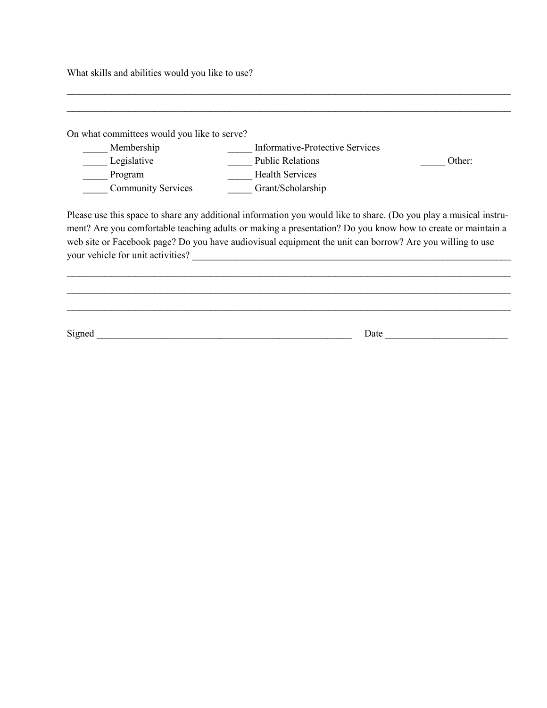What skills and abilities would you like to use?

| On what committees would you like to serve? |                                                                                                                                                                |        |
|---------------------------------------------|----------------------------------------------------------------------------------------------------------------------------------------------------------------|--------|
| Membership                                  | Informative-Protective Services                                                                                                                                |        |
| Legislative                                 | <b>Public Relations</b>                                                                                                                                        | Other: |
| Program                                     | <b>Health Services</b>                                                                                                                                         |        |
| <b>Community Services</b>                   | Grant/Scholarship                                                                                                                                              |        |
| your vehicle for unit activities?           | web site or Facebook page? Do you have audiovisual equipment the unit can borrow? Are you willing to use<br><u> 1986 - John Stein, Amerikaansk politiker (</u> |        |
|                                             |                                                                                                                                                                |        |
|                                             |                                                                                                                                                                |        |
|                                             |                                                                                                                                                                |        |
| Signed                                      |                                                                                                                                                                | Date   |

 $\mathcal{L}_\text{max} = \mathcal{L}_\text{max} = \mathcal{L}_\text{max} = \mathcal{L}_\text{max} = \mathcal{L}_\text{max} = \mathcal{L}_\text{max} = \mathcal{L}_\text{max} = \mathcal{L}_\text{max} = \mathcal{L}_\text{max} = \mathcal{L}_\text{max} = \mathcal{L}_\text{max} = \mathcal{L}_\text{max} = \mathcal{L}_\text{max} = \mathcal{L}_\text{max} = \mathcal{L}_\text{max} = \mathcal{L}_\text{max} = \mathcal{L}_\text{max} = \mathcal{L}_\text{max} = \mathcal{$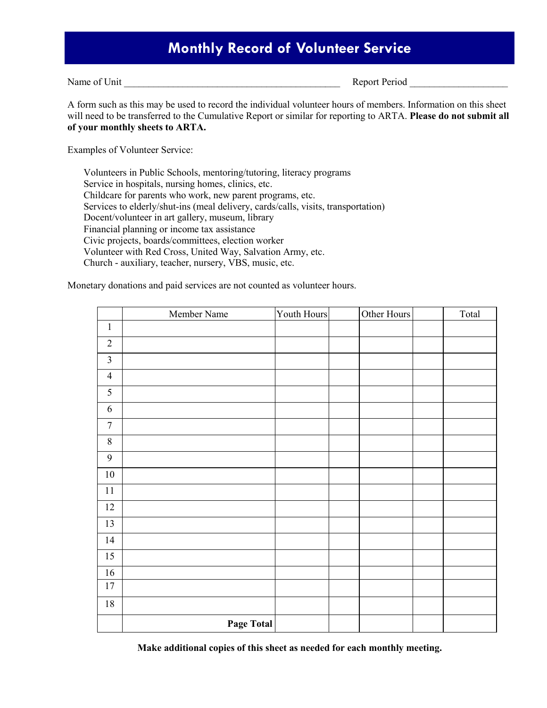### **Monthly Record of Volunteer Service**

Name of Unit The Unit Contract of Unit Contract of Unit Contract of Contract of Contract of Contract of Contract of Contract of Contract of Contract of Contract of Contract of Contract of Contract of Contract of Contract o

A form such as this may be used to record the individual volunteer hours of members. Information on this sheet will need to be transferred to the Cumulative Report or similar for reporting to ARTA. **Please do not submit all of your monthly sheets to ARTA.**

Examples of Volunteer Service:

Volunteers in Public Schools, mentoring/tutoring, literacy programs Service in hospitals, nursing homes, clinics, etc. Childcare for parents who work, new parent programs, etc. Services to elderly/shut-ins (meal delivery, cards/calls, visits, transportation) Docent/volunteer in art gallery, museum, library Financial planning or income tax assistance Civic projects, boards/committees, election worker Volunteer with Red Cross, United Way, Salvation Army, etc. Church - auxiliary, teacher, nursery, VBS, music, etc.

Monetary donations and paid services are not counted as volunteer hours.

|                  | Member Name | Youth Hours | Other Hours | Total |
|------------------|-------------|-------------|-------------|-------|
| $\mathbf{1}$     |             |             |             |       |
| $\overline{2}$   |             |             |             |       |
| $\overline{3}$   |             |             |             |       |
| $\overline{4}$   |             |             |             |       |
| $\mathfrak s$    |             |             |             |       |
| $\sqrt{6}$       |             |             |             |       |
| $\boldsymbol{7}$ |             |             |             |       |
| $\,8\,$          |             |             |             |       |
| 9                |             |             |             |       |
| $10\,$           |             |             |             |       |
| $11\,$           |             |             |             |       |
| $12$             |             |             |             |       |
| 13               |             |             |             |       |
| 14               |             |             |             |       |
| 15               |             |             |             |       |
| 16               |             |             |             |       |
| $17\,$           |             |             |             |       |
| $18\,$           |             |             |             |       |
|                  | Page Total  |             |             |       |

**Make additional copies of this sheet as needed for each monthly meeting.**